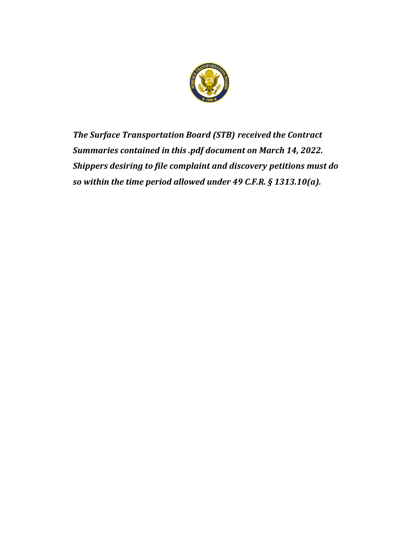

*The Surface Transportation Board (STB) received the Contract Summaries contained in this .pdf document on March 14, 2022. Shippers desiring to file complaint and discovery petitions must do so within the time period allowed under 49 C.F.R. § 1313.10(a).*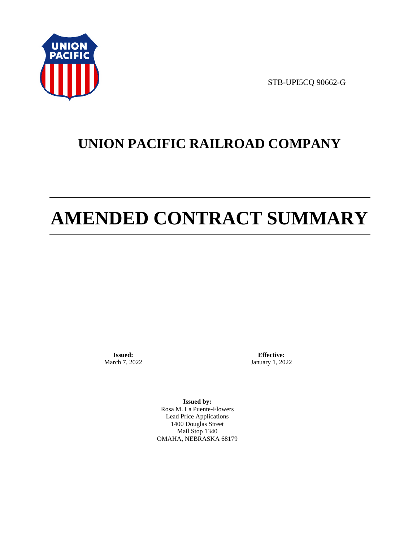

STB-UPI5CQ 90662-G

# **UNION PACIFIC RAILROAD COMPANY**

# **AMENDED CONTRACT SUMMARY**

**Issued:**  March 7, 2022

**Effective:** January 1, 2022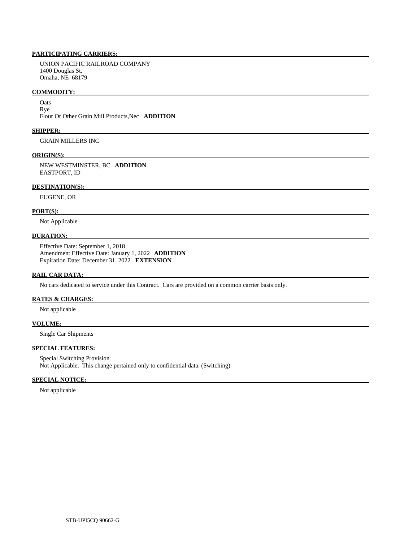UNION PACIFIC RAILROAD COMPANY 1400 Douglas St. Omaha, NE 68179

## **COMMODITY:**

**Oats** Rye

Flour Or Other Grain Mill Products,Nec **ADDITION** 

# **SHIPPER:**

GRAIN MILLERS INC

# **ORIGIN(S):**

 NEW WESTMINSTER, BC **ADDITION**  EASTPORT, ID

# **DESTINATION(S):**

EUGENE, OR

# **PORT(S):**

Not Applicable

# **DURATION:**

 Effective Date: September 1, 2018 Amendment Effective Date: January 1, 2022 **ADDITION**  Expiration Date: December 31, 2022 **EXTENSION** 

# **RAIL CAR DATA:**

No cars dedicated to service under this Contract. Cars are provided on a common carrier basis only.

# **RATES & CHARGES:**

Not applicable

# **VOLUME:**

Single Car Shipments

# **SPECIAL FEATURES:**

 Special Switching Provision Not Applicable. This change pertained only to confidential data. (Switching)

# **SPECIAL NOTICE:**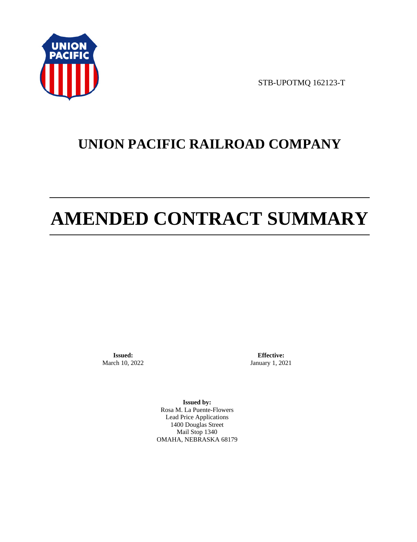

STB-UPOTMQ 162123-T

# **UNION PACIFIC RAILROAD COMPANY**

# **AMENDED CONTRACT SUMMARY**

**Issued:**  March 10, 2022

**Effective:** January 1, 2021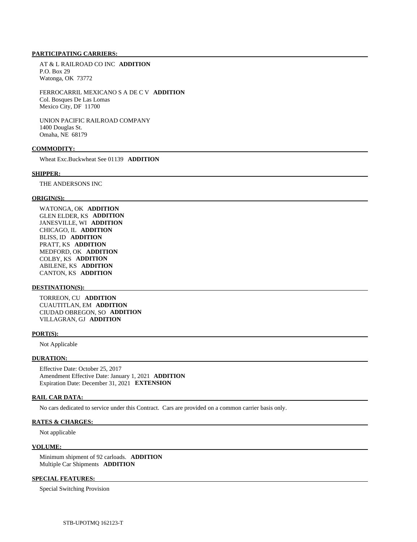AT & L RAILROAD CO INC **ADDITION**  P.O. Box 29 Watonga, OK 73772

 FERROCARRIL MEXICANO S A DE C V **ADDITION**  Col. Bosques De Las Lomas Mexico City, DF 11700

 UNION PACIFIC RAILROAD COMPANY 1400 Douglas St. Omaha, NE 68179

# **COMMODITY:**

Wheat Exc.Buckwheat See 01139 **ADDITION** 

#### **SHIPPER:**

THE ANDERSONS INC

#### **ORIGIN(S):**

 WATONGA, OK **ADDITION**  GLEN ELDER, KS **ADDITION**  JANESVILLE, WI **ADDITION**  CHICAGO, IL **ADDITION**  BLISS, ID **ADDITION**  PRATT, KS **ADDITION**  MEDFORD, OK **ADDITION**  COLBY, KS **ADDITION**  ABILENE, KS **ADDITION**  CANTON, KS **ADDITION** 

# **DESTINATION(S):**

 TORREON, CU **ADDITION**  CUAUTITLAN, EM **ADDITION**  CIUDAD OBREGON, SO **ADDITION**  VILLAGRAN, GJ **ADDITION** 

#### **PORT(S):**

Not Applicable

## **DURATION:**

 Effective Date: October 25, 2017 Amendment Effective Date: January 1, 2021 **ADDITION**  Expiration Date: December 31, 2021 **EXTENSION** 

# **RAIL CAR DATA:**

No cars dedicated to service under this Contract. Cars are provided on a common carrier basis only.

# **RATES & CHARGES:**

Not applicable

#### **VOLUME:**

 Minimum shipment of 92 carloads. **ADDITION**  Multiple Car Shipments **ADDITION** 

# **SPECIAL FEATURES:**

Special Switching Provision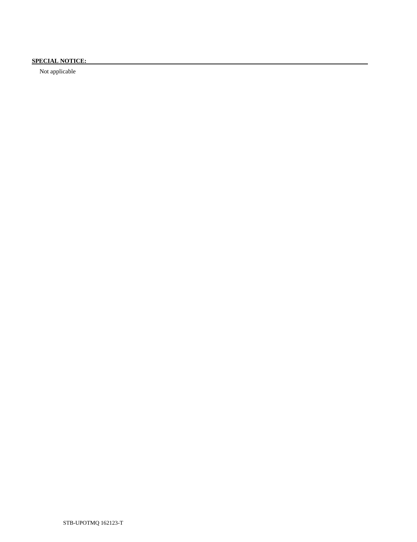# **SPECIAL NOTICE:**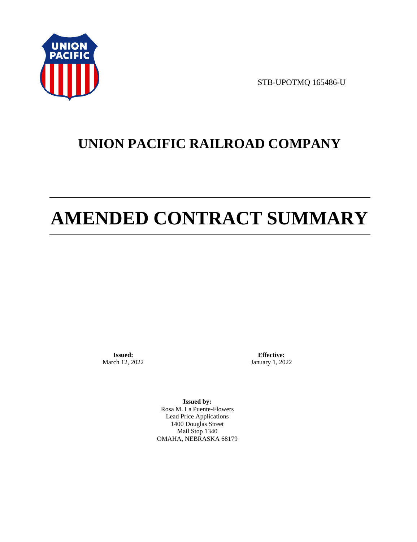

STB-UPOTMQ 165486-U

# **UNION PACIFIC RAILROAD COMPANY**

# **AMENDED CONTRACT SUMMARY**

**Issued:**  March 12, 2022

**Effective:** January 1, 2022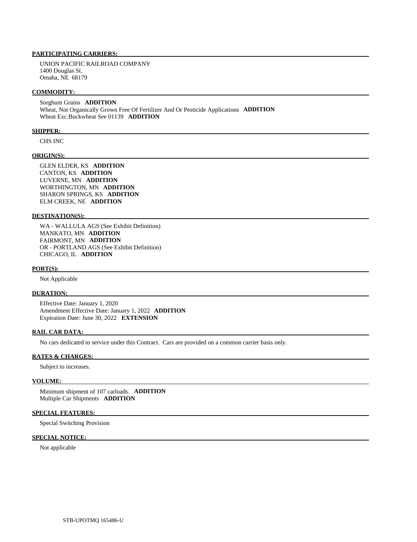UNION PACIFIC RAILROAD COMPANY 1400 Douglas St. Omaha, NE 68179

### **COMMODITY:**

 Sorghum Grains **ADDITION**  Wheat, Not Organically Grown Free Of Fertilizer And Or Pesticide Applications **ADDITION**  Wheat Exc.Buckwheat See 01139 **ADDITION** 

### **SHIPPER:**

CHS INC

# **ORIGIN(S):**

 GLEN ELDER, KS **ADDITION**  CANTON, KS **ADDITION**  LUVERNE, MN **ADDITION**  WORTHINGTON, MN **ADDITION**  SHARON SPRINGS, KS **ADDITION**  ELM CREEK, NE **ADDITION** 

# **DESTINATION(S):**

 WA - WALLULA AGS (See Exhibit Definition) MANKATO, MN **ADDITION**  FAIRMONT, MN **ADDITION**  OR - PORTLAND AGS (See Exhibit Definition) CHICAGO, IL **ADDITION** 

#### **PORT(S):**

Not Applicable

# **DURATION:**

 Effective Date: January 1, 2020 Amendment Effective Date: January 1, 2022 **ADDITION**  Expiration Date: June 30, 2022 **EXTENSION** 

#### **RAIL CAR DATA:**

No cars dedicated to service under this Contract. Cars are provided on a common carrier basis only.

### **RATES & CHARGES:**

Subject to increases.

# **VOLUME:**

 Minimum shipment of 107 carloads. **ADDITION**  Multiple Car Shipments **ADDITION** 

# **SPECIAL FEATURES:**

Special Switching Provision

## **SPECIAL NOTICE:**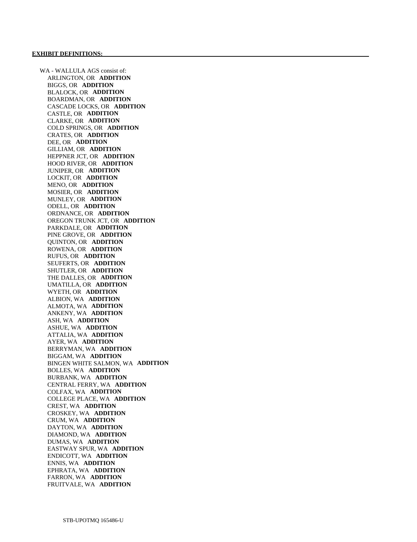WA - WALLULA AGS consist of: ARLINGTON, OR **ADDITION**  BIGGS, OR **ADDITION**  BLALOCK, OR **ADDITION**  BOARDMAN, OR **ADDITION**  CASCADE LOCKS, OR **ADDITION**  CASTLE, OR **ADDITION**  CLARKE, OR **ADDITION**  COLD SPRINGS, OR **ADDITION**  CRATES, OR **ADDITION**  DEE, OR **ADDITION**  GILLIAM, OR **ADDITION**  HEPPNER JCT, OR **ADDITION**  HOOD RIVER, OR **ADDITION**  JUNIPER, OR **ADDITION**  LOCKIT, OR **ADDITION**  MENO, OR **ADDITION**  MOSIER, OR **ADDITION**  MUNLEY, OR **ADDITION**  ODELL, OR **ADDITION**  ORDNANCE, OR **ADDITION**  OREGON TRUNK JCT, OR **ADDITION**  PARKDALE, OR **ADDITION**  PINE GROVE, OR **ADDITION**  QUINTON, OR **ADDITION**  ROWENA, OR **ADDITION**  RUFUS, OR **ADDITION**  SEUFERTS, OR **ADDITION**  SHUTLER, OR **ADDITION**  THE DALLES, OR **ADDITION**  UMATILLA, OR **ADDITION**  WYETH, OR **ADDITION**  ALBION, WA **ADDITION**  ALMOTA, WA **ADDITION**  ANKENY, WA **ADDITION**  ASH, WA **ADDITION**  ASHUE, WA **ADDITION**  ATTALIA, WA **ADDITION**  AYER, WA **ADDITION**  BERRYMAN, WA **ADDITION**  BIGGAM, WA **ADDITION**  BINGEN WHITE SALMON, WA **ADDITION**  BOLLES, WA **ADDITION**  BURBANK, WA **ADDITION**  CENTRAL FERRY, WA **ADDITION**  COLFAX, WA **ADDITION**  COLLEGE PLACE, WA **ADDITION**  CREST, WA **ADDITION**  CROSKEY, WA **ADDITION**  CRUM, WA **ADDITION**  DAYTON, WA **ADDITION**  DIAMOND, WA **ADDITION**  DUMAS, WA **ADDITION**  EASTWAY SPUR, WA **ADDITION**  ENDICOTT, WA **ADDITION**  ENNIS, WA **ADDITION**  EPHRATA, WA **ADDITION**  FARRON, WA **ADDITION**  FRUITVALE, WA **ADDITION**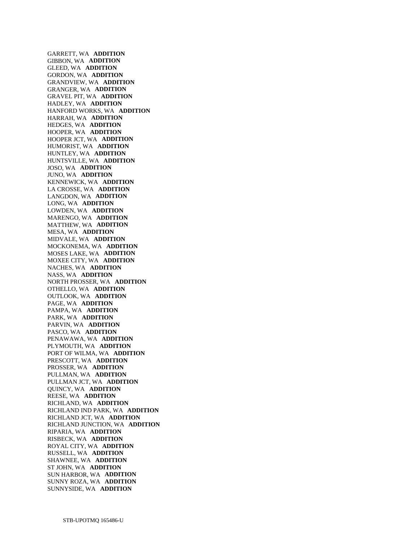GARRETT, WA **ADDITION**  GIBBON, WA **ADDITION**  GLEED, WA **ADDITION**  GORDON, WA **ADDITION**  GRANDVIEW, WA **ADDITION**  GRANGER, WA **ADDITION**  GRAVEL PIT, WA **ADDITION**  HADLEY, WA **ADDITION**  HANFORD WORKS, WA **ADDITION**  HARRAH, WA **ADDITION**  HEDGES, WA **ADDITION**  HOOPER, WA **ADDITION**  HOOPER JCT, WA **ADDITION**  HUMORIST, WA **ADDITION**  HUNTLEY, WA **ADDITION**  HUNTSVILLE, WA **ADDITION**  JOSO, WA **ADDITION**  JUNO, WA **ADDITION**  KENNEWICK, WA **ADDITION**  LA CROSSE, WA **ADDITION**  LANGDON, WA **ADDITION**  LONG, WA **ADDITION**  LOWDEN, WA **ADDITION**  MARENGO, WA **ADDITION**  MATTHEW, WA **ADDITION**  MESA, WA **ADDITION**  MIDVALE, WA **ADDITION**  MOCKONEMA, WA **ADDITION**  MOSES LAKE, WA **ADDITION**  MOXEE CITY, WA **ADDITION**  NACHES, WA **ADDITION**  NASS, WA **ADDITION**  NORTH PROSSER, WA **ADDITION**  OTHELLO, WA **ADDITION**  OUTLOOK, WA **ADDITION**  PAGE, WA **ADDITION**  PAMPA, WA **ADDITION**  PARK, WA **ADDITION**  PARVIN, WA **ADDITION**  PASCO, WA **ADDITION**  PENAWAWA, WA **ADDITION**  PLYMOUTH, WA **ADDITION**  PORT OF WILMA, WA **ADDITION**  PRESCOTT, WA **ADDITION**  PROSSER, WA **ADDITION**  PULLMAN, WA **ADDITION**  PULLMAN JCT, WA **ADDITION**  QUINCY, WA **ADDITION**  REESE, WA **ADDITION**  RICHLAND, WA **ADDITION**  RICHLAND IND PARK, WA **ADDITION**  RICHLAND JCT, WA **ADDITION**  RICHLAND JUNCTION, WA **ADDITION**  RIPARIA, WA **ADDITION**  RISBECK, WA **ADDITION**  ROYAL CITY, WA **ADDITION**  RUSSELL, WA **ADDITION**  SHAWNEE, WA **ADDITION**  ST JOHN, WA **ADDITION**  SUN HARBOR, WA **ADDITION**  SUNNY ROZA, WA **ADDITION**  SUNNYSIDE, WA **ADDITION**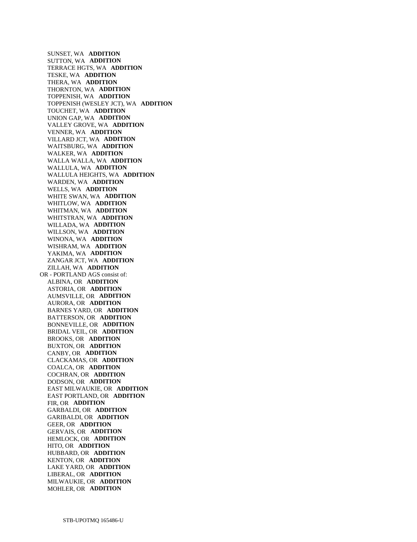SUNSET, WA **ADDITION**  SUTTON, WA **ADDITION**  TERRACE HGTS, WA **ADDITION**  TESKE, WA **ADDITION**  THERA, WA **ADDITION**  THORNTON, WA **ADDITION**  TOPPENISH, WA **ADDITION**  TOPPENISH (WESLEY JCT), WA **ADDITION**  TOUCHET, WA **ADDITION**  UNION GAP, WA **ADDITION**  VALLEY GROVE, WA **ADDITION**  VENNER, WA **ADDITION**  VILLARD JCT, WA **ADDITION**  WAITSBURG, WA **ADDITION**  WALKER, WA **ADDITION**  WALLA WALLA, WA **ADDITION**  WALLULA, WA **ADDITION**  WALLULA HEIGHTS, WA **ADDITION**  WARDEN, WA **ADDITION**  WELLS, WA **ADDITION**  WHITE SWAN, WA **ADDITION**  WHITLOW, WA **ADDITION**  WHITMAN, WA **ADDITION**  WHITSTRAN, WA **ADDITION**  WILLADA, WA **ADDITION**  WILLSON, WA **ADDITION**  WINONA, WA **ADDITION**  WISHRAM, WA **ADDITION**  YAKIMA, WA **ADDITION**  ZANGAR JCT, WA **ADDITION**  ZILLAH, WA **ADDITION**  OR - PORTLAND AGS consist of: ALBINA, OR **ADDITION**  ASTORIA, OR **ADDITION**  AUMSVILLE, OR **ADDITION**  AURORA, OR **ADDITION**  BARNES YARD, OR **ADDITION**  BATTERSON, OR **ADDITION**  BONNEVILLE, OR **ADDITION**  BRIDAL VEIL, OR **ADDITION**  BROOKS, OR **ADDITION**  BUXTON, OR **ADDITION**  CANBY, OR **ADDITION**  CLACKAMAS, OR **ADDITION**  COALCA, OR **ADDITION**  COCHRAN, OR **ADDITION**  DODSON, OR **ADDITION**  EAST MILWAUKIE, OR **ADDITION**  EAST PORTLAND, OR **ADDITION**  FIR, OR **ADDITION**  GARBALDI, OR **ADDITION**  GARIBALDI, OR **ADDITION**  GEER, OR **ADDITION**  GERVAIS, OR **ADDITION**  HEMLOCK, OR **ADDITION**  HITO, OR **ADDITION**  HUBBARD, OR **ADDITION**  KENTON, OR **ADDITION**  LAKE YARD, OR **ADDITION**  LIBERAL, OR **ADDITION**  MILWAUKIE, OR **ADDITION**  MOHLER, OR **ADDITION**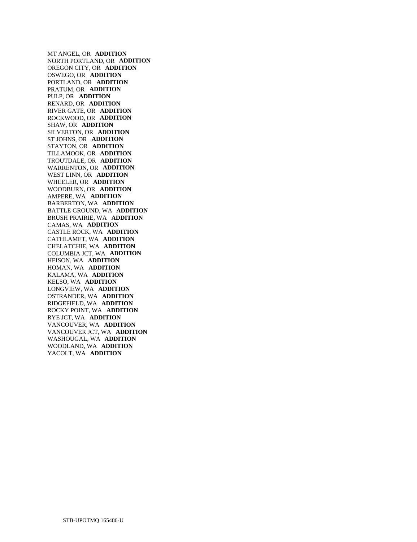MT ANGEL, OR **ADDITION**  NORTH PORTLAND, OR **ADDITION**  OREGON CITY, OR **ADDITION**  OSWEGO, OR **ADDITION**  PORTLAND, OR **ADDITION**  PRATUM, OR **ADDITION**  PULP, OR **ADDITION**  RENARD, OR **ADDITION**  RIVER GATE, OR **ADDITION**  ROCKWOOD, OR **ADDITION**  SHAW, OR **ADDITION**  SILVERTON, OR **ADDITION**  ST JOHNS, OR **ADDITION**  STAYTON, OR **ADDITION**  TILLAMOOK, OR **ADDITION**  TROUTDALE, OR **ADDITION**  WARRENTON, OR **ADDITION**  WEST LINN, OR **ADDITION**  WHEELER, OR **ADDITION**  WOODBURN, OR **ADDITION**  AMPERE, WA **ADDITION**  BARBERTON, WA **ADDITION**  BATTLE GROUND, WA **ADDITION**  BRUSH PRAIRIE, WA **ADDITION**  CAMAS, WA **ADDITION**  CASTLE ROCK, WA **ADDITION**  CATHLAMET, WA **ADDITION**  CHELATCHIE, WA **ADDITION**  COLUMBIA JCT, WA **ADDITION**  HEISON, WA **ADDITION**  HOMAN, WA **ADDITION**  KALAMA, WA **ADDITION**  KELSO, WA **ADDITION**  LONGVIEW, WA **ADDITION**  OSTRANDER, WA **ADDITION**  RIDGEFIELD, WA **ADDITION**  ROCKY POINT, WA **ADDITION**  RYE JCT, WA **ADDITION**  VANCOUVER, WA **ADDITION**  VANCOUVER JCT, WA **ADDITION**  WASHOUGAL, WA **ADDITION**  WOODLAND, WA **ADDITION**  YACOLT, WA **ADDITION**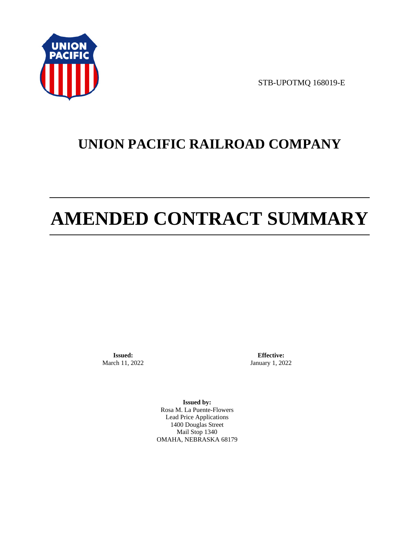

STB-UPOTMQ 168019-E

# **UNION PACIFIC RAILROAD COMPANY**

# **AMENDED CONTRACT SUMMARY**

**Issued:**  March 11, 2022

**Effective:** January 1, 2022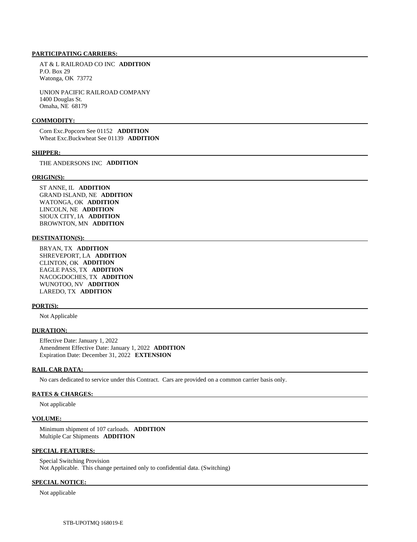AT & L RAILROAD CO INC **ADDITION**  P.O. Box 29 Watonga, OK 73772

 UNION PACIFIC RAILROAD COMPANY 1400 Douglas St. Omaha, NE 68179

#### **COMMODITY:**

 Corn Exc.Popcorn See 01152 **ADDITION**  Wheat Exc.Buckwheat See 01139 **ADDITION** 

#### **SHIPPER:**

THE ANDERSONS INC **ADDITION** 

#### **ORIGIN(S):**

 ST ANNE, IL **ADDITION**  GRAND ISLAND, NE **ADDITION**  WATONGA, OK **ADDITION**  LINCOLN, NE **ADDITION**  SIOUX CITY, IA **ADDITION**  BROWNTON, MN **ADDITION** 

#### **DESTINATION(S):**

 BRYAN, TX **ADDITION**  SHREVEPORT, LA **ADDITION**  CLINTON, OK **ADDITION**  EAGLE PASS, TX **ADDITION**  NACOGDOCHES, TX **ADDITION**  WUNOTOO, NV **ADDITION**  LAREDO, TX **ADDITION** 

# **PORT(S):**

Not Applicable

#### **DURATION:**

 Effective Date: January 1, 2022 Amendment Effective Date: January 1, 2022 **ADDITION**  Expiration Date: December 31, 2022 **EXTENSION** 

#### **RAIL CAR DATA:**

No cars dedicated to service under this Contract. Cars are provided on a common carrier basis only.

## **RATES & CHARGES:**

Not applicable

#### **VOLUME:**

 Minimum shipment of 107 carloads. **ADDITION**  Multiple Car Shipments **ADDITION** 

### **SPECIAL FEATURES:**

 Special Switching Provision Not Applicable. This change pertained only to confidential data. (Switching)

# **SPECIAL NOTICE:**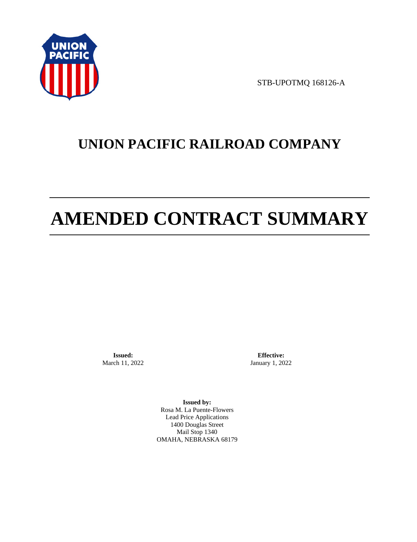

STB-UPOTMQ 168126-A

# **UNION PACIFIC RAILROAD COMPANY**

# **AMENDED CONTRACT SUMMARY**

**Issued:**  March 11, 2022

**Effective:** January 1, 2022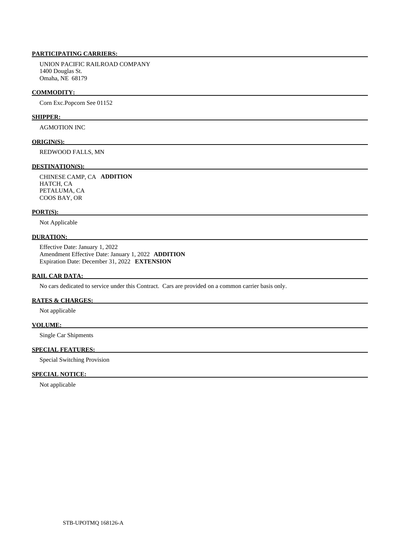UNION PACIFIC RAILROAD COMPANY 1400 Douglas St. Omaha, NE 68179

# **COMMODITY:**

Corn Exc.Popcorn See 01152

# **SHIPPER:**

AGMOTION INC

### **ORIGIN(S):**

REDWOOD FALLS, MN

# **DESTINATION(S):**

 CHINESE CAMP, CA **ADDITION**  HATCH, CA PETALUMA, CA COOS BAY, OR

### **PORT(S):**

Not Applicable

# **DURATION:**

 Effective Date: January 1, 2022 Amendment Effective Date: January 1, 2022 **ADDITION**  Expiration Date: December 31, 2022 **EXTENSION** 

### **RAIL CAR DATA:**

No cars dedicated to service under this Contract. Cars are provided on a common carrier basis only.

# **RATES & CHARGES:**

Not applicable

# **VOLUME:**

Single Car Shipments

# **SPECIAL FEATURES:**

Special Switching Provision

# **SPECIAL NOTICE:**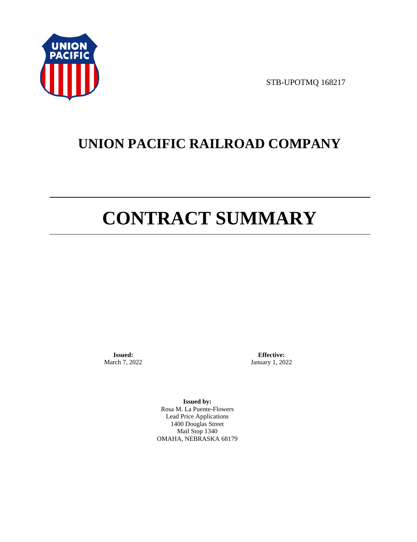

STB-UPOTMQ 168217

# **UNION PACIFIC RAILROAD COMPANY**

# **CONTRACT SUMMARY**

**Issued:**  March 7, 2022

**Effective:** January 1, 2022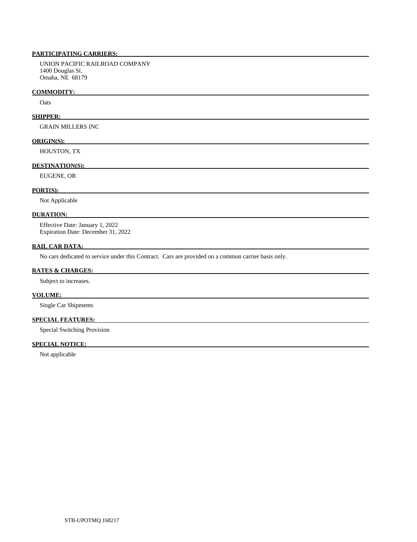UNION PACIFIC RAILROAD COMPANY 1400 Douglas St. Omaha, NE 68179

# **COMMODITY:**

**O**ats

# **SHIPPER:**

GRAIN MILLERS INC

# **ORIGIN(S):**

HOUSTON, TX

# **DESTINATION(S):**

EUGENE, OR

# **PORT(S):**

Not Applicable

## **DURATION:**

 Effective Date: January 1, 2022 Expiration Date: December 31, 2022

# **RAIL CAR DATA:**

No cars dedicated to service under this Contract. Cars are provided on a common carrier basis only.

# **RATES & CHARGES:**

Subject to increases.

# **VOLUME:**

Single Car Shipments

# **SPECIAL FEATURES:**

Special Switching Provision

# **SPECIAL NOTICE:**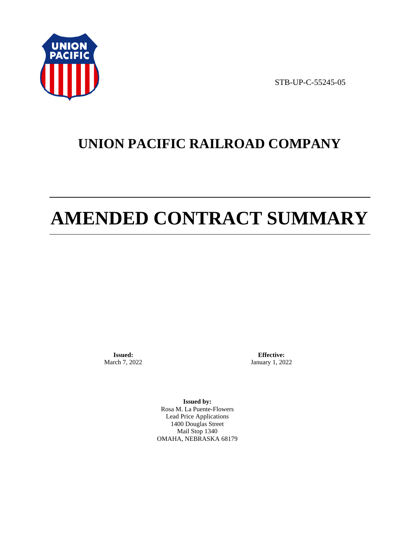

STB-UP-C-55245-05

# **UNION PACIFIC RAILROAD COMPANY**

# **AMENDED CONTRACT SUMMARY**

**Issued:**  March 7, 2022

**Effective:** January 1, 2022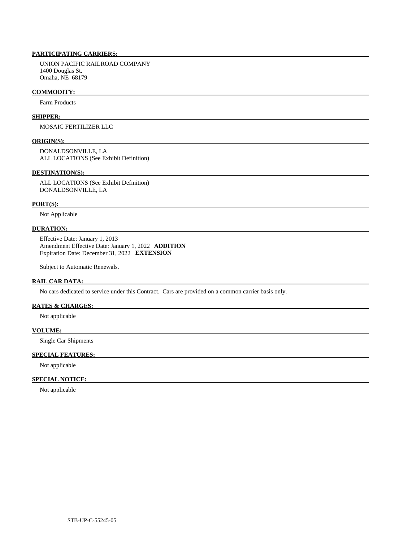UNION PACIFIC RAILROAD COMPANY 1400 Douglas St. Omaha, NE 68179

## **COMMODITY:**

Farm Products

# **SHIPPER:**

MOSAIC FERTILIZER LLC

### **ORIGIN(S):**

 DONALDSONVILLE, LA ALL LOCATIONS (See Exhibit Definition)

#### **DESTINATION(S):**

 ALL LOCATIONS (See Exhibit Definition) DONALDSONVILLE, LA

## **PORT(S):**

Not Applicable

# **DURATION:**

 Effective Date: January 1, 2013 Amendment Effective Date: January 1, 2022 **ADDITION**  Expiration Date: December 31, 2022 **EXTENSION** 

Subject to Automatic Renewals.

# **RAIL CAR DATA:**

No cars dedicated to service under this Contract. Cars are provided on a common carrier basis only.

# **RATES & CHARGES:**

Not applicable

### **VOLUME:**

Single Car Shipments

# **SPECIAL FEATURES:**

Not applicable

# **SPECIAL NOTICE:**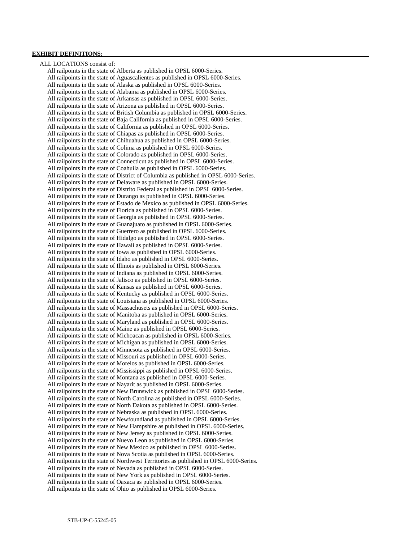# **EXHIBIT DEFINITIONS:**

 ALL LOCATIONS consist of: All railpoints in the state of Alberta as published in OPSL 6000-Series. All railpoints in the state of Aguascalientes as published in OPSL 6000-Series. All railpoints in the state of Alaska as published in OPSL 6000-Series. All railpoints in the state of Alabama as published in OPSL 6000-Series. All railpoints in the state of Arkansas as published in OPSL 6000-Series. All railpoints in the state of Arizona as published in OPSL 6000-Series. All railpoints in the state of British Columbia as published in OPSL 6000-Series. All railpoints in the state of Baja California as published in OPSL 6000-Series. All railpoints in the state of California as published in OPSL 6000-Series. All railpoints in the state of Chiapas as published in OPSL 6000-Series. All railpoints in the state of Chihuahua as published in OPSL 6000-Series. All railpoints in the state of Colima as published in OPSL 6000-Series. All railpoints in the state of Colorado as published in OPSL 6000-Series. All railpoints in the state of Connecticut as published in OPSL 6000-Series. All railpoints in the state of Coahuila as published in OPSL 6000-Series. All railpoints in the state of District of Columbia as published in OPSL 6000-Series. All railpoints in the state of Delaware as published in OPSL 6000-Series. All railpoints in the state of Distrito Federal as published in OPSL 6000-Series. All railpoints in the state of Durango as published in OPSL 6000-Series. All railpoints in the state of Estado de Mexico as published in OPSL 6000-Series. All railpoints in the state of Florida as published in OPSL 6000-Series. All railpoints in the state of Georgia as published in OPSL 6000-Series. All railpoints in the state of Guanajuato as published in OPSL 6000-Series. All railpoints in the state of Guerrero as published in OPSL 6000-Series. All railpoints in the state of Hidalgo as published in OPSL 6000-Series. All railpoints in the state of Hawaii as published in OPSL 6000-Series. All railpoints in the state of Iowa as published in OPSL 6000-Series. All railpoints in the state of Idaho as published in OPSL 6000-Series. All railpoints in the state of Illinois as published in OPSL 6000-Series. All railpoints in the state of Indiana as published in OPSL 6000-Series. All railpoints in the state of Jalisco as published in OPSL 6000-Series. All railpoints in the state of Kansas as published in OPSL 6000-Series. All railpoints in the state of Kentucky as published in OPSL 6000-Series. All railpoints in the state of Louisiana as published in OPSL 6000-Series. All railpoints in the state of Massachusets as published in OPSL 6000-Series. All railpoints in the state of Manitoba as published in OPSL 6000-Series. All railpoints in the state of Maryland as published in OPSL 6000-Series. All railpoints in the state of Maine as published in OPSL 6000-Series. All railpoints in the state of Michoacan as published in OPSL 6000-Series. All railpoints in the state of Michigan as published in OPSL 6000-Series. All railpoints in the state of Minnesota as published in OPSL 6000-Series. All railpoints in the state of Missouri as published in OPSL 6000-Series. All railpoints in the state of Morelos as published in OPSL 6000-Series. All railpoints in the state of Mississippi as published in OPSL 6000-Series. All railpoints in the state of Montana as published in OPSL 6000-Series. All railpoints in the state of Nayarit as published in OPSL 6000-Series. All railpoints in the state of New Brunswick as published in OPSL 6000-Series. All railpoints in the state of North Carolina as published in OPSL 6000-Series. All railpoints in the state of North Dakota as published in OPSL 6000-Series. All railpoints in the state of Nebraska as published in OPSL 6000-Series. All railpoints in the state of Newfoundland as published in OPSL 6000-Series. All railpoints in the state of New Hampshire as published in OPSL 6000-Series. All railpoints in the state of New Jersey as published in OPSL 6000-Series. All railpoints in the state of Nuevo Leon as published in OPSL 6000-Series. All railpoints in the state of New Mexico as published in OPSL 6000-Series. All railpoints in the state of Nova Scotia as published in OPSL 6000-Series. All railpoints in the state of Northwest Territories as published in OPSL 6000-Series. All railpoints in the state of Nevada as published in OPSL 6000-Series. All railpoints in the state of New York as published in OPSL 6000-Series. All railpoints in the state of Oaxaca as published in OPSL 6000-Series. All railpoints in the state of Ohio as published in OPSL 6000-Series.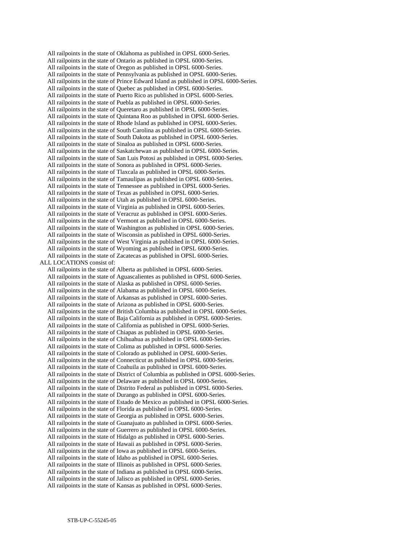All railpoints in the state of Oklahoma as published in OPSL 6000-Series. All railpoints in the state of Ontario as published in OPSL 6000-Series. All railpoints in the state of Oregon as published in OPSL 6000-Series. All railpoints in the state of Pennsylvania as published in OPSL 6000-Series. All railpoints in the state of Prince Edward Island as published in OPSL 6000-Series. All railpoints in the state of Quebec as published in OPSL 6000-Series. All railpoints in the state of Puerto Rico as published in OPSL 6000-Series. All railpoints in the state of Puebla as published in OPSL 6000-Series. All railpoints in the state of Queretaro as published in OPSL 6000-Series. All railpoints in the state of Quintana Roo as published in OPSL 6000-Series. All railpoints in the state of Rhode Island as published in OPSL 6000-Series. All railpoints in the state of South Carolina as published in OPSL 6000-Series. All railpoints in the state of South Dakota as published in OPSL 6000-Series. All railpoints in the state of Sinaloa as published in OPSL 6000-Series. All railpoints in the state of Saskatchewan as published in OPSL 6000-Series. All railpoints in the state of San Luis Potosi as published in OPSL 6000-Series. All railpoints in the state of Sonora as published in OPSL 6000-Series. All railpoints in the state of Tlaxcala as published in OPSL 6000-Series. All railpoints in the state of Tamaulipas as published in OPSL 6000-Series. All railpoints in the state of Tennessee as published in OPSL 6000-Series. All railpoints in the state of Texas as published in OPSL 6000-Series. All railpoints in the state of Utah as published in OPSL 6000-Series. All railpoints in the state of Virginia as published in OPSL 6000-Series. All railpoints in the state of Veracruz as published in OPSL 6000-Series. All railpoints in the state of Vermont as published in OPSL 6000-Series. All railpoints in the state of Washington as published in OPSL 6000-Series. All railpoints in the state of Wisconsin as published in OPSL 6000-Series. All railpoints in the state of West Virginia as published in OPSL 6000-Series. All railpoints in the state of Wyoming as published in OPSL 6000-Series. All railpoints in the state of Zacatecas as published in OPSL 6000-Series. ALL LOCATIONS consist of: All railpoints in the state of Alberta as published in OPSL 6000-Series. All railpoints in the state of Aguascalientes as published in OPSL 6000-Series. All railpoints in the state of Alaska as published in OPSL 6000-Series. All railpoints in the state of Alabama as published in OPSL 6000-Series. All railpoints in the state of Arkansas as published in OPSL 6000-Series. All railpoints in the state of Arizona as published in OPSL 6000-Series. All railpoints in the state of British Columbia as published in OPSL 6000-Series. All railpoints in the state of Baja California as published in OPSL 6000-Series. All railpoints in the state of California as published in OPSL 6000-Series. All railpoints in the state of Chiapas as published in OPSL 6000-Series. All railpoints in the state of Chihuahua as published in OPSL 6000-Series. All railpoints in the state of Colima as published in OPSL 6000-Series. All railpoints in the state of Colorado as published in OPSL 6000-Series. All railpoints in the state of Connecticut as published in OPSL 6000-Series. All railpoints in the state of Coahuila as published in OPSL 6000-Series. All railpoints in the state of District of Columbia as published in OPSL 6000-Series. All railpoints in the state of Delaware as published in OPSL 6000-Series. All railpoints in the state of Distrito Federal as published in OPSL 6000-Series. All railpoints in the state of Durango as published in OPSL 6000-Series. All railpoints in the state of Estado de Mexico as published in OPSL 6000-Series. All railpoints in the state of Florida as published in OPSL 6000-Series. All railpoints in the state of Georgia as published in OPSL 6000-Series. All railpoints in the state of Guanajuato as published in OPSL 6000-Series. All railpoints in the state of Guerrero as published in OPSL 6000-Series. All railpoints in the state of Hidalgo as published in OPSL 6000-Series. All railpoints in the state of Hawaii as published in OPSL 6000-Series. All railpoints in the state of Iowa as published in OPSL 6000-Series. All railpoints in the state of Idaho as published in OPSL 6000-Series. All railpoints in the state of Illinois as published in OPSL 6000-Series. All railpoints in the state of Indiana as published in OPSL 6000-Series. All railpoints in the state of Jalisco as published in OPSL 6000-Series. All railpoints in the state of Kansas as published in OPSL 6000-Series.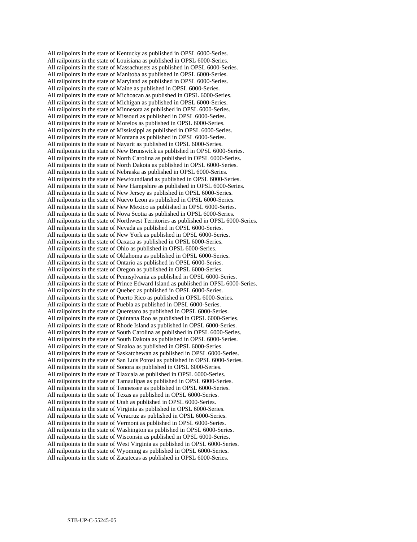All railpoints in the state of Kentucky as published in OPSL 6000-Series. All railpoints in the state of Louisiana as published in OPSL 6000-Series. All railpoints in the state of Massachusets as published in OPSL 6000-Series. All railpoints in the state of Manitoba as published in OPSL 6000-Series. All railpoints in the state of Maryland as published in OPSL 6000-Series. All railpoints in the state of Maine as published in OPSL 6000-Series. All railpoints in the state of Michoacan as published in OPSL 6000-Series. All railpoints in the state of Michigan as published in OPSL 6000-Series. All railpoints in the state of Minnesota as published in OPSL 6000-Series. All railpoints in the state of Missouri as published in OPSL 6000-Series. All railpoints in the state of Morelos as published in OPSL 6000-Series. All railpoints in the state of Mississippi as published in OPSL 6000-Series. All railpoints in the state of Montana as published in OPSL 6000-Series. All railpoints in the state of Nayarit as published in OPSL 6000-Series. All railpoints in the state of New Brunswick as published in OPSL 6000-Series. All railpoints in the state of North Carolina as published in OPSL 6000-Series. All railpoints in the state of North Dakota as published in OPSL 6000-Series. All railpoints in the state of Nebraska as published in OPSL 6000-Series. All railpoints in the state of Newfoundland as published in OPSL 6000-Series. All railpoints in the state of New Hampshire as published in OPSL 6000-Series. All railpoints in the state of New Jersey as published in OPSL 6000-Series. All railpoints in the state of Nuevo Leon as published in OPSL 6000-Series. All railpoints in the state of New Mexico as published in OPSL 6000-Series. All railpoints in the state of Nova Scotia as published in OPSL 6000-Series. All railpoints in the state of Northwest Territories as published in OPSL 6000-Series. All railpoints in the state of Nevada as published in OPSL 6000-Series. All railpoints in the state of New York as published in OPSL 6000-Series. All railpoints in the state of Oaxaca as published in OPSL 6000-Series. All railpoints in the state of Ohio as published in OPSL 6000-Series. All railpoints in the state of Oklahoma as published in OPSL 6000-Series. All railpoints in the state of Ontario as published in OPSL 6000-Series. All railpoints in the state of Oregon as published in OPSL 6000-Series. All railpoints in the state of Pennsylvania as published in OPSL 6000-Series. All railpoints in the state of Prince Edward Island as published in OPSL 6000-Series. All railpoints in the state of Quebec as published in OPSL 6000-Series. All railpoints in the state of Puerto Rico as published in OPSL 6000-Series. All railpoints in the state of Puebla as published in OPSL 6000-Series. All railpoints in the state of Queretaro as published in OPSL 6000-Series. All railpoints in the state of Quintana Roo as published in OPSL 6000-Series. All railpoints in the state of Rhode Island as published in OPSL 6000-Series. All railpoints in the state of South Carolina as published in OPSL 6000-Series. All railpoints in the state of South Dakota as published in OPSL 6000-Series. All railpoints in the state of Sinaloa as published in OPSL 6000-Series. All railpoints in the state of Saskatchewan as published in OPSL 6000-Series. All railpoints in the state of San Luis Potosi as published in OPSL 6000-Series. All railpoints in the state of Sonora as published in OPSL 6000-Series. All railpoints in the state of Tlaxcala as published in OPSL 6000-Series. All railpoints in the state of Tamaulipas as published in OPSL 6000-Series. All railpoints in the state of Tennessee as published in OPSL 6000-Series. All railpoints in the state of Texas as published in OPSL 6000-Series. All railpoints in the state of Utah as published in OPSL 6000-Series. All railpoints in the state of Virginia as published in OPSL 6000-Series. All railpoints in the state of Veracruz as published in OPSL 6000-Series. All railpoints in the state of Vermont as published in OPSL 6000-Series. All railpoints in the state of Washington as published in OPSL 6000-Series. All railpoints in the state of Wisconsin as published in OPSL 6000-Series. All railpoints in the state of West Virginia as published in OPSL 6000-Series. All railpoints in the state of Wyoming as published in OPSL 6000-Series. All railpoints in the state of Zacatecas as published in OPSL 6000-Series.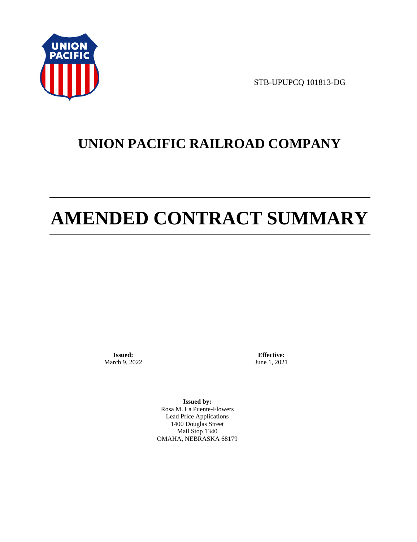

STB-UPUPCQ 101813-DG

# **UNION PACIFIC RAILROAD COMPANY**

# **AMENDED CONTRACT SUMMARY**

**Issued:**  March 9, 2022

**Effective:** June 1, 2021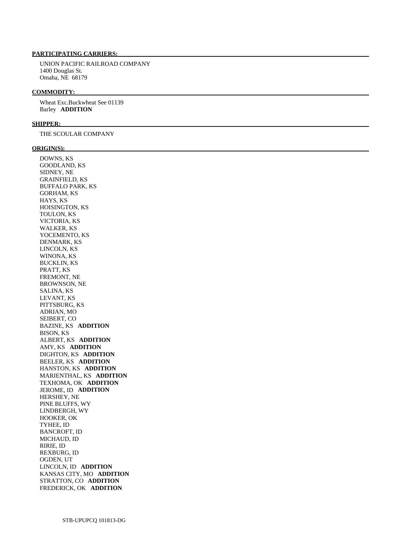UNION PACIFIC RAILROAD COMPANY 1400 Douglas St. Omaha, NE 68179

#### **COMMODITY:**

 Wheat Exc.Buckwheat See 01139 Barley **ADDITION** 

### **SHIPPER:**

THE SCOULAR COMPANY

## **ORIGIN(S):**

 DOWNS, KS GOODLAND, KS SIDNEY, NE GRAINFIELD, KS BUFFALO PARK, KS GORHAM, KS HAYS, KS HOISINGTON, KS TOULON, KS VICTORIA, KS WALKER, KS YOCEMENTO, KS DENMARK, KS LINCOLN, KS WINONA, KS BUCKLIN, KS PRATT, KS FREMONT, NE BROWNSON, NE SALINA, KS LEVANT, KS PITTSBURG, KS ADRIAN, MO SEIBERT, CO BAZINE, KS **ADDITION**  BISON, KS ALBERT, KS **ADDITION**  AMY, KS **ADDITION**  DIGHTON, KS **ADDITION**  BEELER, KS **ADDITION**  HANSTON, KS **ADDITION**  MARIENTHAL, KS **ADDITION**  TEXHOMA, OK **ADDITION**  JEROME, ID **ADDITION**  HERSHEY, NE PINE BLUFFS, WY LINDBERGH, WY HOOKER, OK TYHEE, ID BANCROFT, ID MICHAUD, ID RIRIE, ID REXBURG, ID OGDEN, UT LINCOLN, ID **ADDITION**  KANSAS CITY, MO **ADDITION**  STRATTON, CO **ADDITION**  FREDERICK, OK **ADDITION**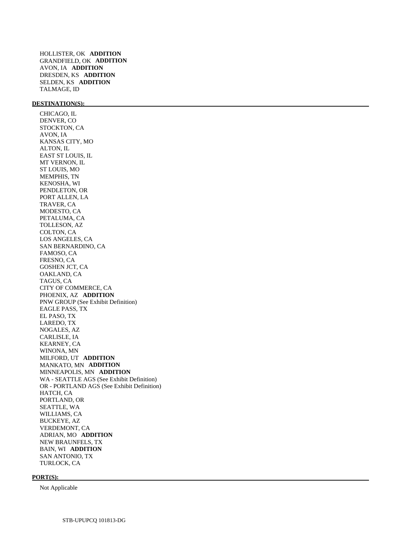HOLLISTER, OK **ADDITION**  GRANDFIELD, OK **ADDITION**  AVON, IA **ADDITION**  DRESDEN, KS **ADDITION**  SELDEN, KS **ADDITION**  TALMAGE, ID

# **DESTINATION(S):**

 CHICAGO, IL DENVER, CO STOCKTON, CA AVON, IA KANSAS CITY, MO ALTON, IL EAST ST LOUIS, IL MT VERNON, IL ST LOUIS, MO MEMPHIS, TN KENOSHA, WI PENDLETON, OR PORT ALLEN, LA TRAVER, CA MODESTO, CA PETALUMA, CA TOLLESON, AZ COLTON, CA LOS ANGELES, CA SAN BERNARDINO, CA FAMOSO, CA FRESNO, CA GOSHEN JCT, CA OAKLAND, CA TAGUS, CA CITY OF COMMERCE, CA PHOENIX, AZ **ADDITION**  PNW GROUP (See Exhibit Definition) EAGLE PASS, TX EL PASO, TX LAREDO, TX NOGALES, AZ CARLISLE, IA KEARNEY, CA WINONA, MN MILFORD, UT **ADDITION**  MANKATO, MN **ADDITION**  MINNEAPOLIS, MN **ADDITION**  WA - SEATTLE AGS (See Exhibit Definition) OR - PORTLAND AGS (See Exhibit Definition) HATCH, CA PORTLAND, OR SEATTLE, WA WILLIAMS, CA BUCKEYE, AZ VERDEMONT, CA ADRIAN, MO **ADDITION**  NEW BRAUNFELS, TX BAIN, WI **ADDITION**  SAN ANTONIO, TX TURLOCK, CA

#### **PORT(S):**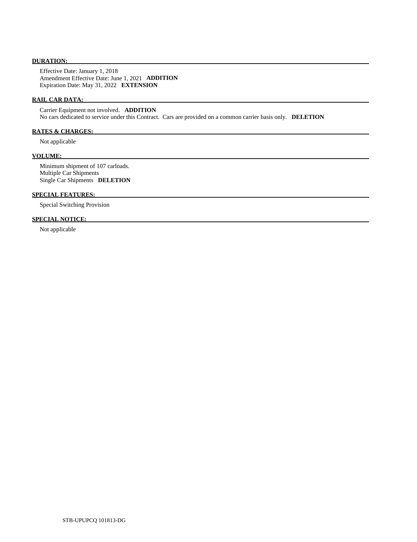# **DURATION:**

 Effective Date: January 1, 2018 Amendment Effective Date: June 1, 2021 **ADDITION**  Expiration Date: May 31, 2022 **EXTENSION** 

# **RAIL CAR DATA:**

 Carrier Equipment not involved. **ADDITION**  No cars dedicated to service under this Contract. Cars are provided on a common carrier basis only. **DELETION** 

# **RATES & CHARGES:**

Not applicable

### **VOLUME:**

 Minimum shipment of 107 carloads. Multiple Car Shipments Single Car Shipments **DELETION** 

# **SPECIAL FEATURES:**

Special Switching Provision

# **SPECIAL NOTICE:**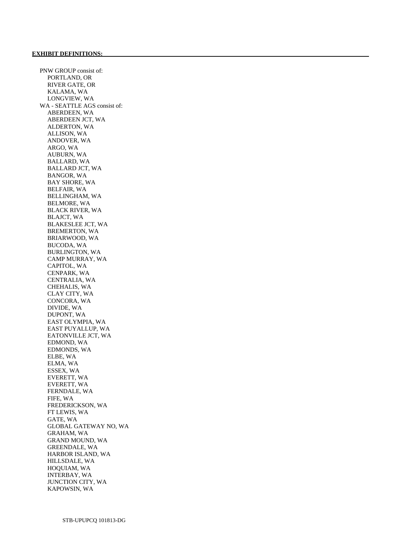PNW GROUP consist of: PORTLAND, OR RIVER GATE, OR KALAMA, WA LONGVIEW, WA WA - SEATTLE AGS consist of: ABERDEEN, WA ABERDEEN JCT, WA ALDERTON, WA ALLISON, WA ANDOVER, WA ARGO, WA AUBURN, WA BALLARD, WA BALLARD JCT, WA BANGOR, WA BAY SHORE, WA BELFAIR, WA BELLINGHAM, WA BELMORE, WA BLACK RIVER, WA BLAJCT, WA BLAKESLEE JCT, WA BREMERTON, WA BRIARWOOD, WA BUCODA, WA BURLINGTON, WA CAMP MURRAY, WA CAPITOL, WA CENPARK, WA CENTRALIA, WA CHEHALIS, WA CLAY CITY, WA CONCORA, WA DIVIDE, WA DUPONT, WA EAST OLYMPIA, WA EAST PUYALLUP, WA EATONVILLE JCT, WA EDMOND, WA EDMONDS, WA ELBE, WA ELMA, WA ESSEX, WA EVERETT, WA EVERETT, WA FERNDALE, WA FIFE, WA FREDERICKSON, WA FT LEWIS, WA GATE, WA GLOBAL GATEWAY NO, WA GRAHAM, WA GRAND MOUND, WA GREENDALE, WA HARBOR ISLAND, WA HILLSDALE, WA HOQUIAM, WA INTERBAY, WA JUNCTION CITY, WA KAPOWSIN, WA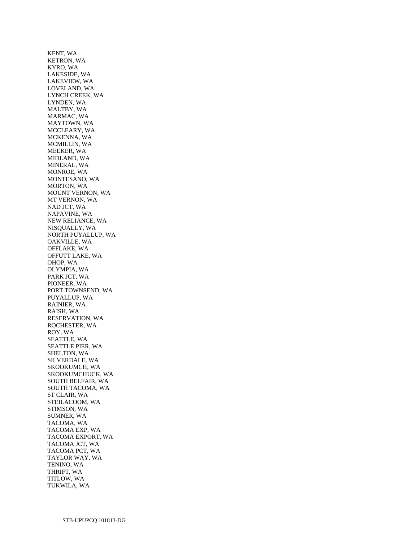KENT, WA KETRON, WA KYRO, WA LAKESIDE, WA LAKEVIEW, WA LOVELAND, WA LYNCH CREEK, WA LYNDEN, WA MALTBY, WA MARMAC, WA MAYTOWN, WA MCCLEARY, WA MCKENNA, WA MCMILLIN, WA MEEKER, WA MIDLAND, WA MINERAL, WA MONROE, WA MONTESANO, WA MORTON, WA MOUNT VERNON, WA MT VERNON, WA NAD JCT, WA NAPAVINE, WA NEW RELIANCE, WA NISQUALLY, WA NORTH PUYALLUP, WA OAKVILLE, WA OFFLAKE, WA OFFUTT LAKE, WA OHOP, WA OLYMPIA, WA PARK JCT, WA PIONEER, WA PORT TOWNSEND, WA PUYALLUP, WA RAINIER, WA RAISH, WA RESERVATION, WA ROCHESTER, WA ROY, WA SEATTLE, WA SEATTLE PIER, WA SHELTON, WA SILVERDALE, WA SKOOKUMCH, WA SKOOKUMCHUCK, WA SOUTH BELFAIR, WA SOUTH TACOMA, WA ST CLAIR, WA STEILACOOM, WA STIMSON, WA SUMNER, WA TACOMA, WA TACOMA EXP, WA TACOMA EXPORT, WA TACOMA JCT, WA TACOMA PCT, WA TAYLOR WAY, WA TENINO, WA THRIFT, WA TITLOW, WA TUKWILA, WA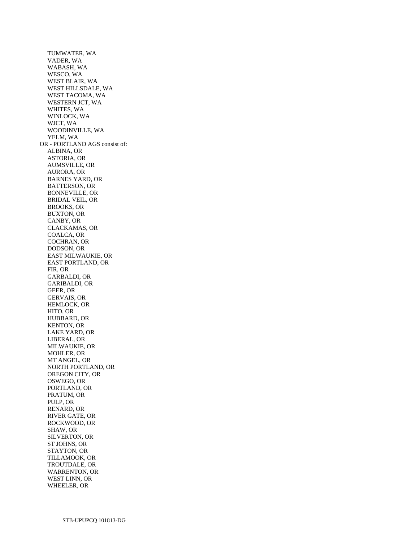TUMWATER, WA VADER, WA WABASH, WA WESCO, WA WEST BLAIR, WA WEST HILLSDALE, WA WEST TACOMA, WA WESTERN JCT, WA WHITES, WA WINLOCK, WA WJCT, WA WOODINVILLE, WA YELM, WA OR - PORTLAND AGS consist of: ALBINA, OR ASTORIA, OR AUMSVILLE, OR AURORA, OR BARNES YARD, OR BATTERSON, OR BONNEVILLE, OR BRIDAL VEIL, OR BROOKS, OR BUXTON, OR CANBY, OR CLACKAMAS, OR COALCA, OR COCHRAN, OR DODSON, OR EAST MILWAUKIE, OR EAST PORTLAND, OR FIR, OR GARBALDI, OR GARIBALDI, OR GEER, OR GERVAIS, OR HEMLOCK, OR HITO, OR HUBBARD, OR KENTON, OR LAKE YARD, OR LIBERAL, OR MILWAUKIE, OR MOHLER, OR MT ANGEL, OR NORTH PORTLAND, OR OREGON CITY, OR OSWEGO, OR PORTLAND, OR PRATUM, OR PULP, OR RENARD, OR RIVER GATE, OR ROCKWOOD, OR SHAW, OR SILVERTON, OR ST JOHNS, OR STAYTON, OR TILLAMOOK, OR TROUTDALE, OR WARRENTON, OR WEST LINN, OR WHEELER, OR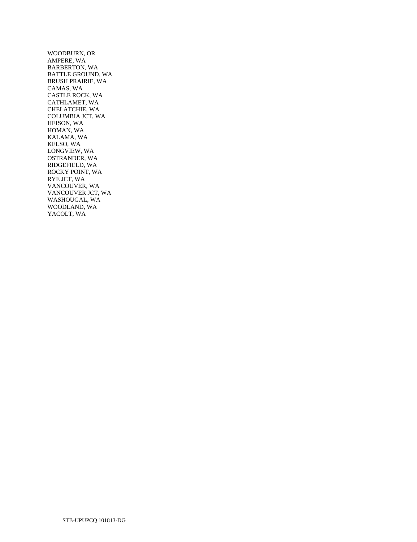WOODBURN, OR AMPERE, WA BARBERTON, WA BATTLE GROUND, WA BRUSH PRAIRIE, WA CAMAS, WA CASTLE ROCK, WA CATHLAMET, WA CHELATCHIE, WA COLUMBIA JCT, WA HEISON, WA HOMAN, WA KALAMA, WA KELSO, WA LONGVIEW, WA OSTRANDER, WA RIDGEFIELD, WA ROCKY POINT, WA RYE JCT, WA VANCOUVER, WA VANCOUVER JCT, WA WASHOUGAL, WA WOODLAND, WA YACOLT, WA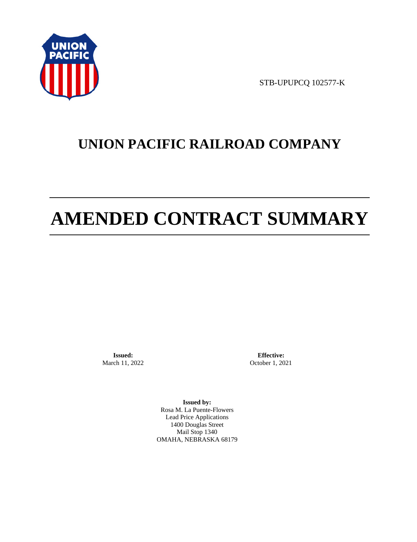

STB-UPUPCQ 102577-K

# **UNION PACIFIC RAILROAD COMPANY**

# **AMENDED CONTRACT SUMMARY**

**Issued:**  March 11, 2022

**Effective:** October 1, 2021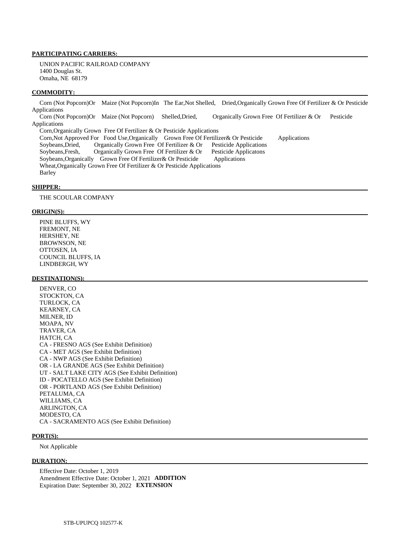UNION PACIFIC RAILROAD COMPANY 1400 Douglas St. Omaha, NE 68179

# **COMMODITY:**

 Corn (Not Popcorn)Or Maize (Not Popcorn)In The Ear,Not Shelled, Dried,Organically Grown Free Of Fertilizer & Or Pesticide Applications Corn (Not Popcorn)Or Maize (Not Popcorn) Shelled,Dried, Organically Grown Free Of Fertilizer & Or Pesticide Applications

 Corn,Organically Grown Free Of Fertilizer & Or Pesticide Applications Corn, Not Approved For Food Use, Organically Grown Free Of Fertilizer & Or Pesticide Applications<br>Soybeans, Dried, Organically Grown Free Of Fertilizer & Or Pesticide Applications Organically Grown Free Of Fertilizer & Or Pesticide Applications<br>Organically Grown Free Of Fertilizer & Or Pesticide Applicatons Soybeans, Fresh, Organically Grown Free Of Fertilizer  $\&$  Or Soybeans,Organically Grown Free Of Fertilizer& Or Pesticide Applications Wheat,Organically Grown Free Of Fertilizer & Or Pesticide Applications Barley

### **SHIPPER:**

THE SCOULAR COMPANY

#### **ORIGIN(S):**

 PINE BLUFFS, WY FREMONT, NE HERSHEY, NE BROWNSON, NE OTTOSEN, IA COUNCIL BLUFFS, IA LINDBERGH, WY

## **DESTINATION(S):**

 DENVER, CO STOCKTON, CA TURLOCK, CA KEARNEY, CA MILNER, ID MOAPA, NV TRAVER, CA HATCH, CA CA - FRESNO AGS (See Exhibit Definition) CA - MET AGS (See Exhibit Definition) CA - NWP AGS (See Exhibit Definition) OR - LA GRANDE AGS (See Exhibit Definition) UT - SALT LAKE CITY AGS (See Exhibit Definition) ID - POCATELLO AGS (See Exhibit Definition) OR - PORTLAND AGS (See Exhibit Definition) PETALUMA, CA WILLIAMS, CA ARLINGTON, CA MODESTO, CA CA - SACRAMENTO AGS (See Exhibit Definition)

#### **PORT(S):**

Not Applicable

# **DURATION:**

 Effective Date: October 1, 2019 Amendment Effective Date: October 1, 2021 **ADDITION**  Expiration Date: September 30, 2022 **EXTENSION**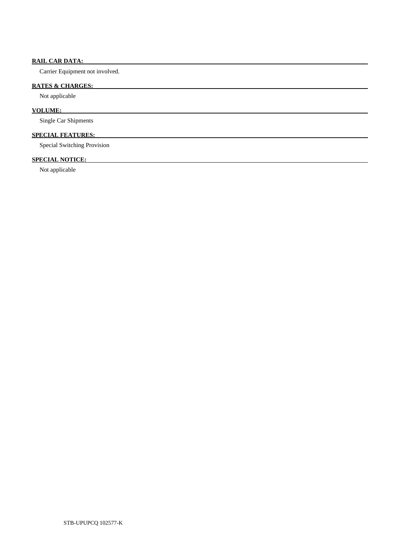# **RAIL CAR DATA:**

Carrier Equipment not involved.

# **RATES & CHARGES:**

Not applicable

# **VOLUME:**

Single Car Shipments

# **SPECIAL FEATURES:**

Special Switching Provision

# **SPECIAL NOTICE:**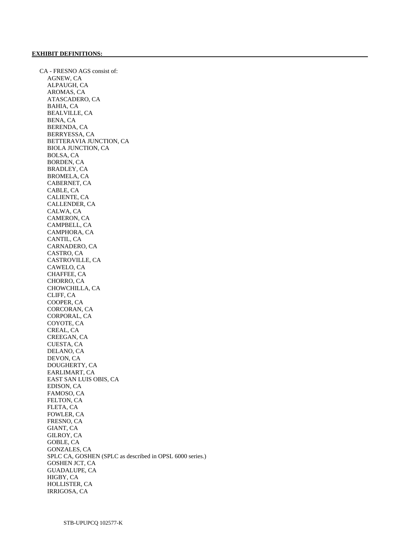CA - FRESNO AGS consist of: AGNEW, CA ALPAUGH, CA AROMAS, CA ATASCADERO, CA BAHIA, CA BEALVILLE, CA BENA, CA BERENDA, CA BERRYESSA, CA BETTERAVIA JUNCTION, CA BIOLA JUNCTION, CA BOLSA, CA BORDEN, CA BRADLEY, CA BROMELA, CA CABERNET, CA CABLE, CA CALIENTE, CA CALLENDER, CA CALWA, CA CAMERON, CA CAMPBELL, CA CAMPHORA, CA CANTIL, CA CARNADERO, CA CASTRO, CA CASTROVILLE, CA CAWELO, CA CHAFFEE, CA CHORRO, CA CHOWCHILLA, CA CLIFF, CA COOPER, CA CORCORAN, CA CORPORAL, CA COYOTE, CA CREAL, CA CREEGAN, CA CUESTA, CA DELANO, CA DEVON, CA DOUGHERTY, CA EARLIMART, CA EAST SAN LUIS OBIS, CA EDISON, CA FAMOSO, CA FELTON, CA FLETA, CA FOWLER, CA FRESNO, CA GIANT, CA GILROY, CA GOBLE, CA GONZALES, CA SPLC CA, GOSHEN (SPLC as described in OPSL 6000 series.) GOSHEN JCT, CA GUADALUPE, CA HIGBY, CA HOLLISTER, CA IRRIGOSA, CA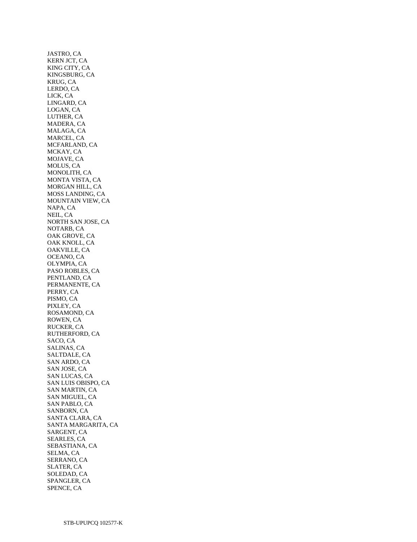JASTRO, CA KERN JCT, CA KING CITY, CA KINGSBURG, CA KRUG, CA LERDO, CA LICK, CA LINGARD, CA LOGAN, CA LUTHER, CA MADERA, CA MALAGA, CA MARCEL, CA MCFARLAND, CA MCKAY, CA MOJAVE, CA MOLUS, CA MONOLITH, CA MONTA VISTA, CA MORGAN HILL, CA MOSS LANDING, CA MOUNTAIN VIEW, CA NAPA, CA NEIL, CA NORTH SAN JOSE, CA NOTARB, CA OAK GROVE, CA OAK KNOLL, CA OAKVILLE, CA OCEANO, CA OLYMPIA, CA PASO ROBLES, CA PENTLAND, CA PERMANENTE, CA PERRY, CA PISMO, CA PIXLEY, CA ROSAMOND, CA ROWEN, CA RUCKER, CA RUTHERFORD, CA SACO, CA SALINAS, CA SALTDALE, CA SAN ARDO, CA SAN JOSE, CA SAN LUCAS, CA SAN LUIS OBISPO, CA SAN MARTIN, CA SAN MIGUEL, CA SAN PABLO, CA SANBORN, CA SANTA CLARA, CA SANTA MARGARITA, CA SARGENT, CA SEARLES, CA SEBASTIANA, CA SELMA, CA SERRANO, CA SLATER, CA SOLEDAD, CA SPANGLER, CA SPENCE, CA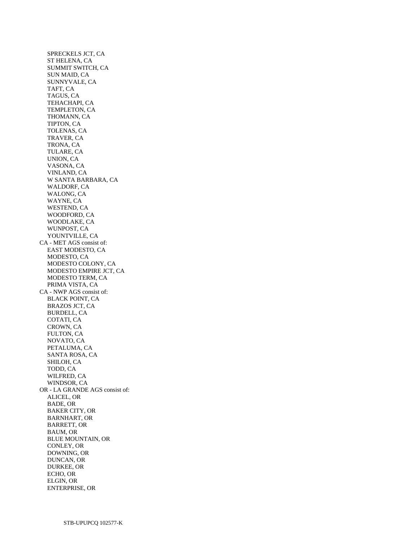SPRECKELS JCT, CA ST HELENA, CA SUMMIT SWITCH, CA SUN MAID, CA SUNNYVALE, CA TAFT, CA TAGUS, CA TEHACHAPI, CA TEMPLETON, CA THOMANN, CA TIPTON, CA TOLENAS, CA TRAVER, CA TRONA, CA TULARE, CA UNION, CA VASONA, CA VINLAND, CA W SANTA BARBARA, CA WALDORF, CA WALONG, CA WAYNE, CA WESTEND, CA WOODFORD, CA WOODLAKE, CA WUNPOST, CA YOUNTVILLE, CA CA - MET AGS consist of: EAST MODESTO, CA MODESTO, CA MODESTO COLONY, CA MODESTO EMPIRE JCT, CA MODESTO TERM, CA PRIMA VISTA, CA CA - NWP AGS consist of: BLACK POINT, CA BRAZOS JCT, CA BURDELL, CA COTATI, CA CROWN, CA FULTON, CA NOVATO, CA PETALUMA, CA SANTA ROSA, CA SHILOH, CA TODD, CA WILFRED, CA WINDSOR, CA OR - LA GRANDE AGS consist of: ALICEL, OR BADE, OR BAKER CITY, OR BARNHART, OR BARRETT, OR BAUM, OR BLUE MOUNTAIN, OR CONLEY, OR DOWNING, OR DUNCAN, OR DURKEE, OR ECHO, OR ELGIN, OR ENTERPRISE, OR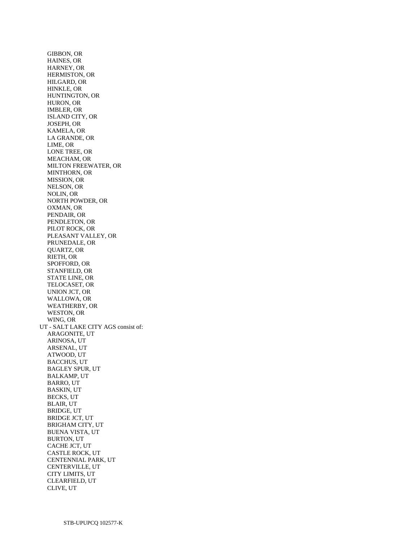GIBBON, OR HAINES, OR HARNEY, OR HERMISTON, OR HILGARD, OR HINKLE, OR HUNTINGTON, OR HURON, OR IMBLER, OR ISLAND CITY, OR JOSEPH, OR KAMELA, OR LA GRANDE, OR LIME, OR LONE TREE, OR MEACHAM, OR MILTON FREEWATER, OR MINTHORN, OR MISSION, OR NELSON, OR NOLIN, OR NORTH POWDER, OR OXMAN, OR PENDAIR, OR PENDLETON, OR PILOT ROCK, OR PLEASANT VALLEY, OR PRUNEDALE, OR QUARTZ, OR RIETH, OR SPOFFORD, OR STANFIELD, OR STATE LINE, OR TELOCASET, OR UNION JCT, OR WALLOWA, OR WEATHERBY, OR WESTON, OR WING, OR UT - SALT LAKE CITY AGS consist of: ARAGONITE, UT ARINOSA, UT ARSENAL, UT ATWOOD, UT BACCHUS, UT BAGLEY SPUR, UT BALKAMP, UT BARRO, UT BASKIN, UT BECKS, UT BLAIR, UT BRIDGE, UT BRIDGE JCT, UT BRIGHAM CITY, UT BUENA VISTA, UT BURTON, UT CACHE JCT, UT CASTLE ROCK, UT CENTENNIAL PARK, UT CENTERVILLE, UT CITY LIMITS, UT CLEARFIELD, UT CLIVE, UT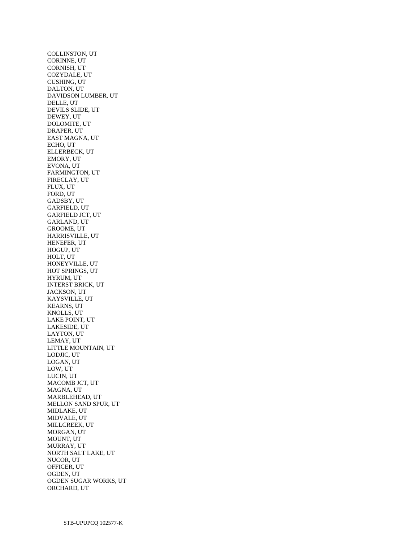COLLINSTON, UT CORINNE, UT CORNISH, UT COZYDALE, UT CUSHING, UT DALTON, UT DAVIDSON LUMBER, UT DELLE, UT DEVILS SLIDE, UT DEWEY, UT DOLOMITE, UT DRAPER, UT EAST MAGNA, UT ECHO, UT ELLERBECK, UT EMORY, UT EVONA, UT FARMINGTON, UT FIRECLAY, UT FLUX, UT FORD, UT GADSBY, UT GARFIELD, UT GARFIELD JCT, UT GARLAND, UT GROOME, UT HARRISVILLE, UT HENEFER, UT HOGUP, UT HOLT, UT HONEYVILLE, UT HOT SPRINGS, UT HYRUM, UT INTERST BRICK, UT JACKSON, UT KAYSVILLE, UT KEARNS, UT KNOLLS, UT LAKE POINT, UT LAKESIDE, UT LAYTON, UT LEMAY, UT LITTLE MOUNTAIN, UT LODJIC, UT LOGAN, UT LOW, UT LUCIN, UT MACOMB JCT, UT MAGNA, UT MARBLEHEAD, UT MELLON SAND SPUR, UT MIDLAKE, UT MIDVALE, UT MILLCREEK, UT MORGAN, UT MOUNT, UT MURRAY, UT NORTH SALT LAKE, UT NUCOR, UT OFFICER, UT OGDEN, UT OGDEN SUGAR WORKS, UT ORCHARD, UT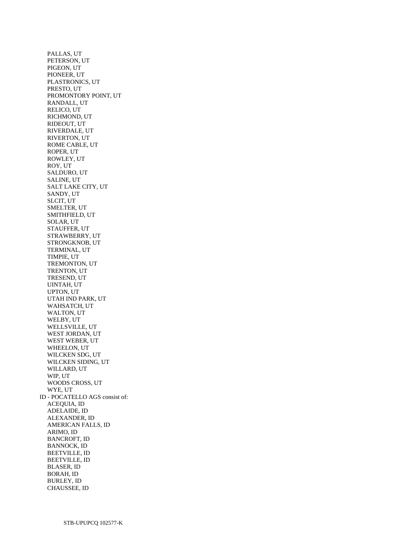PALLAS, UT PETERSON, UT PIGEON, UT PIONEER, UT PLASTRONICS, UT PRESTO, UT PROMONTORY POINT, UT RANDALL, UT RELICO, UT RICHMOND, UT RIDEOUT, UT RIVERDALE, UT RIVERTON, UT ROME CABLE, UT ROPER, UT ROWLEY, UT ROY, UT SALDURO, UT SALINE, UT SALT LAKE CITY, UT SANDY, UT SLCIT, UT SMELTER, UT SMITHFIELD, UT SOLAR, UT STAUFFER, UT STRAWBERRY, UT STRONGKNOB, UT TERMINAL, UT TIMPIE, UT TREMONTON, UT TRENTON, UT TRESEND, UT UINTAH, UT UPTON, UT UTAH IND PARK, UT WAHSATCH, UT WALTON, UT WELBY, UT WELLSVILLE, UT WEST JORDAN, UT WEST WEBER, UT WHEELON, UT WILCKEN SDG, UT WILCKEN SIDING, UT WILLARD, UT WIP, UT WOODS CROSS, UT WYE, UT ID - POCATELLO AGS consist of: ACEQUIA, ID ADELAIDE, ID ALEXANDER, ID AMERICAN FALLS, ID ARIMO, ID BANCROFT, ID BANNOCK, ID BEETVILLE, ID BEETVILLE, ID BLASER, ID BORAH, ID BURLEY, ID CHAUSSEE, ID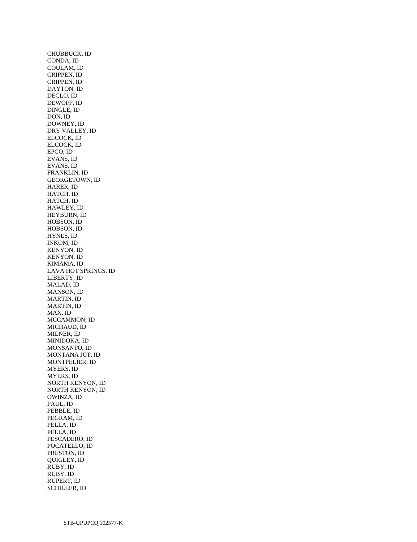CHUBBUCK, ID CONDA, ID COULAM, ID CRIPPEN, ID CRIPPEN, ID DAYTON, ID DECLO, ID DEWOFF, ID DINGLE, ID DON, ID DOWNEY, ID DRY VALLEY, ID ELCOCK, ID ELCOCK, ID EPCO, ID EVANS, ID EVANS, ID FRANKLIN, ID GEORGETOWN, ID HARER, ID HATCH, ID HATCH, ID HAWLEY, ID HEYBURN, ID HOBSON, ID HOBSON, ID HYNES, ID INKOM, ID KENYON, ID KENYON, ID KIMAMA, ID LAVA HOT SPRINGS, ID LIBERTY, ID MALAD, ID MANSON, ID MARTIN, ID MARTIN, ID MAX, ID MCCAMMON, ID MICHAUD, ID MILNER, ID MINIDOKA, ID MONSANTO, ID MONTANA JCT, ID MONTPELIER, ID MYERS, ID MYERS, ID NORTH KENYON, ID NORTH KENYON, ID OWINZA, ID PAUL, ID PEBBLE, ID PEGRAM, ID PELLA, ID PELLA, ID PESCADERO, ID POCATELLO, ID PRESTON, ID QUIGLEY, ID RUBY, ID RUBY, ID RUPERT, ID SCHILLER, ID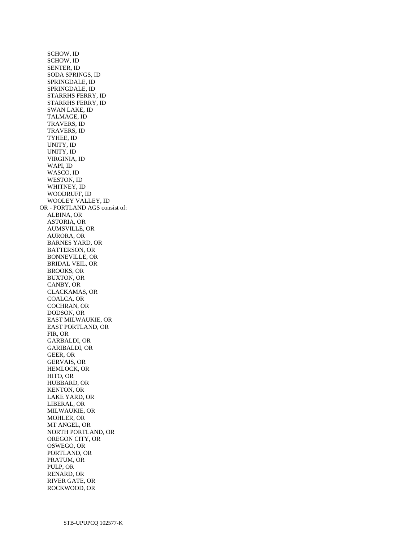SCHOW, ID SCHOW, ID SENTER, ID SODA SPRINGS, ID SPRINGDALE, ID SPRINGDALE, ID STARRHS FERRY, ID STARRHS FERRY, ID SWAN LAKE, ID TALMAGE, ID TRAVERS, ID TRAVERS, ID TYHEE, ID UNITY, ID UNITY, ID VIRGINIA, ID WAPI, ID WASCO, ID WESTON, ID WHITNEY, ID WOODRUFF, ID WOOLEY VALLEY, ID OR - PORTLAND AGS consist of: ALBINA, OR ASTORIA, OR AUMSVILLE, OR AURORA, OR BARNES YARD, OR BATTERSON, OR BONNEVILLE, OR BRIDAL VEIL, OR BROOKS, OR BUXTON, OR CANBY, OR CLACKAMAS, OR COALCA, OR COCHRAN, OR DODSON, OR EAST MILWAUKIE, OR EAST PORTLAND, OR FIR, OR GARBALDI, OR GARIBALDI, OR GEER, OR GERVAIS, OR HEMLOCK, OR HITO, OR HUBBARD, OR KENTON, OR LAKE YARD, OR LIBERAL, OR MILWAUKIE, OR MOHLER, OR MT ANGEL, OR NORTH PORTLAND, OR OREGON CITY, OR OSWEGO, OR PORTLAND, OR PRATUM, OR PULP, OR RENARD, OR RIVER GATE, OR ROCKWOOD, OR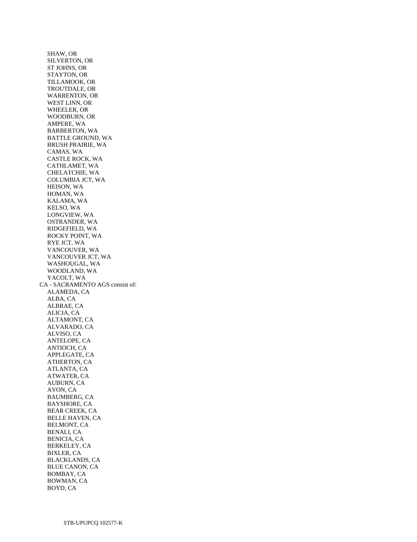SHAW, OR SILVERTON, OR ST JOHNS, OR STAYTON, OR TILLAMOOK, OR TROUTDALE, OR WARRENTON, OR WEST LINN, OR WHEELER, OR WOODBURN, OR AMPERE, WA BARBERTON, WA BATTLE GROUND, WA BRUSH PRAIRIE, WA CAMAS, WA CASTLE ROCK, WA CATHLAMET, WA CHELATCHIE, WA COLUMBIA JCT, WA HEISON, WA HOMAN, WA KALAMA, WA KELSO, WA LONGVIEW, WA OSTRANDER, WA RIDGEFIELD, WA ROCKY POINT, WA RYE JCT, WA VANCOUVER, WA VANCOUVER JCT, WA WASHOUGAL, WA WOODLAND, WA YACOLT, WA CA - SACRAMENTO AGS consist of: ALAMEDA, CA ALBA, CA ALBRAE, CA ALICIA, CA ALTAMONT, CA ALVARADO, CA ALVISO, CA ANTELOPE, CA ANTIOCH, CA APPLEGATE, CA ATHERTON, CA ATLANTA, CA ATWATER, CA AUBURN, CA AVON, CA BAUMBERG, CA BAYSHORE, CA BEAR CREEK, CA BELLE HAVEN, CA BELMONT, CA BENALI, CA BENICIA, CA BERKELEY, CA BIXLER, CA BLACKLANDS, CA BLUE CANON, CA BOMBAY, CA BOWMAN, CA BOYD, CA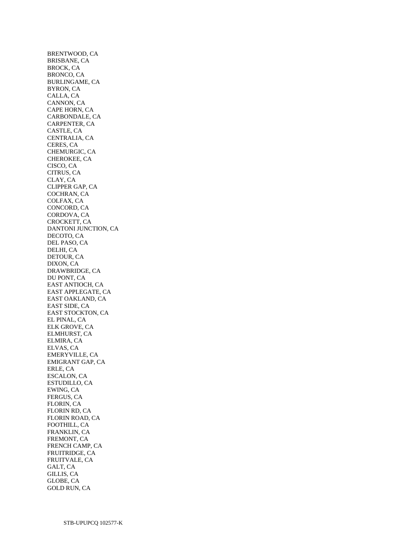BRENTWOOD, CA BRISBANE, CA BROCK, CA BRONCO, CA BURLINGAME, CA BYRON, CA CALLA, CA CANNON, CA CAPE HORN, CA CARBONDALE, CA CARPENTER, CA CASTLE, CA CENTRALIA, CA CERES, CA CHEMURGIC, CA CHEROKEE, CA CISCO, CA CITRUS, CA CLAY, CA CLIPPER GAP, CA COCHRAN, CA COLFAX, CA CONCORD, CA CORDOVA, CA CROCKETT, CA DANTONI JUNCTION, CA DECOTO, CA DEL PASO, CA DELHI, CA DETOUR, CA DIXON, CA DRAWBRIDGE, CA DU PONT, CA EAST ANTIOCH, CA EAST APPLEGATE, CA EAST OAKLAND, CA EAST SIDE, CA EAST STOCKTON, CA EL PINAL, CA ELK GROVE, CA ELMHURST, CA ELMIRA, CA ELVAS, CA EMERYVILLE, CA EMIGRANT GAP, CA ERLE, CA ESCALON, CA ESTUDILLO, CA EWING, CA FERGUS, CA FLORIN, CA FLORIN RD, CA FLORIN ROAD, CA FOOTHILL, CA FRANKLIN, CA FREMONT, CA FRENCH CAMP, CA FRUITRIDGE, CA FRUITVALE, CA GALT, CA GILLIS, CA GLOBE, CA GOLD RUN, CA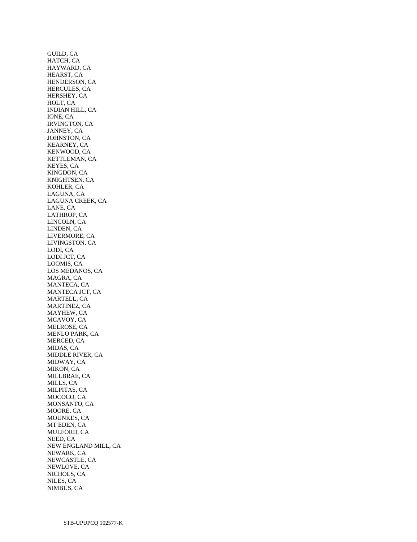GUILD, CA HATCH, CA HAYWARD, CA HEARST, CA HENDERSON, CA HERCULES, CA HERSHEY, CA HOLT, CA INDIAN HILL, CA IONE, CA IRVINGTON, CA JANNEY, CA JOHNSTON, CA KEARNEY, CA KENWOOD, CA KETTLEMAN, CA KEYES, CA KINGDON, CA KNIGHTSEN, CA KOHLER, CA LAGUNA, CA LAGUNA CREEK, CA LANE, CA LATHROP, CA LINCOLN, CA LINDEN, CA LIVERMORE, CA LIVINGSTON, CA LODI, CA LODI JCT, CA LOOMIS, CA LOS MEDANOS, CA MAGRA, CA MANTECA, CA MANTECA JCT, CA MARTELL, CA MARTINEZ, CA MAYHEW, CA MCAVOY, CA MELROSE, CA MENLO PARK, CA MERCED, CA MIDAS, CA MIDDLE RIVER, CA MIDWAY, CA MIKON, CA MILLBRAE, CA MILLS, CA MILPITAS, CA MOCOCO, CA MONSANTO, CA MOORE, CA MOUNKES, CA MT EDEN, CA MULFORD, CA NEED, CA NEW ENGLAND MILL, CA NEWARK, CA NEWCASTLE, CA NEWLOVE, CA NICHOLS, CA NILES, CA NIMBUS, CA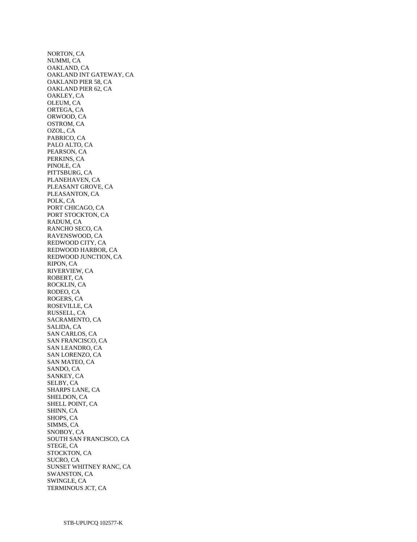NORTON, CA NUMMI, CA OAKLAND, CA OAKLAND INT GATEWAY, CA OAKLAND PIER 58, CA OAKLAND PIER 62, CA OAKLEY, CA OLEUM, CA ORTEGA, CA ORWOOD, CA OSTROM, CA OZOL, CA PABRICO, CA PALO ALTO, CA PEARSON, CA PERKINS, CA PINOLE, CA PITTSBURG, CA PLANEHAVEN, CA PLEASANT GROVE, CA PLEASANTON, CA POLK, CA PORT CHICAGO, CA PORT STOCKTON, CA RADUM, CA RANCHO SECO, CA RAVENSWOOD, CA REDWOOD CITY, CA REDWOOD HARBOR, CA REDWOOD JUNCTION, CA RIPON, CA RIVERVIEW, CA ROBERT, CA ROCKLIN, CA RODEO, CA ROGERS, CA ROSEVILLE, CA RUSSELL, CA SACRAMENTO, CA SALIDA, CA SAN CARLOS, CA SAN FRANCISCO, CA SAN LEANDRO, CA SAN LORENZO, CA SAN MATEO, CA SANDO, CA SANKEY, CA SELBY, CA SHARPS LANE, CA SHELDON, CA SHELL POINT, CA SHINN, CA SHOPS, CA SIMMS, CA SNOBOY, CA SOUTH SAN FRANCISCO, CA STEGE, CA STOCKTON, CA SUCRO, CA SUNSET WHITNEY RANC, CA SWANSTON, CA SWINGLE, CA TERMINOUS JCT, CA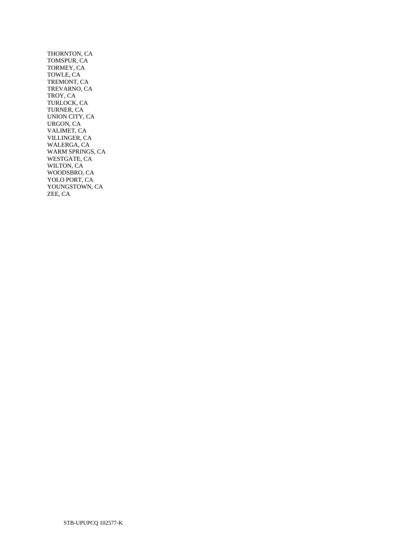THORNTON, CA TOMSPUR, CA TORMEY, CA TOWLE, CA TREMONT, CA TREVARNO, CA TROY, CA TURLOCK, CA TURNER, CA UNION CITY, CA URGON, CA VALIMET, CA VILLINGER, CA WALERGA, CA WARM SPRINGS, CA WESTGATE, CA WILTON, CA WOODSBRO, CA YOLO PORT, CA YOUNGSTOWN, CA ZEE, CA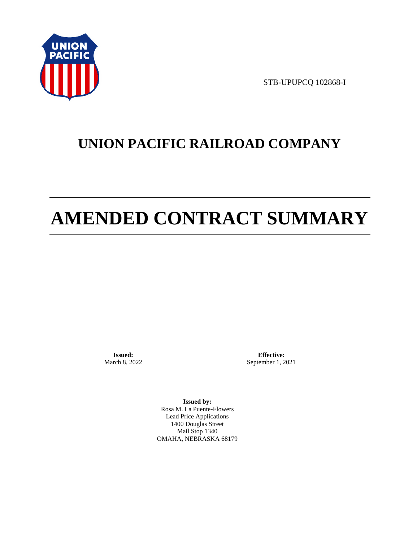

STB-UPUPCQ 102868-I

# **UNION PACIFIC RAILROAD COMPANY**

# **AMENDED CONTRACT SUMMARY**

**Issued:**  March 8, 2022

**Effective:** September 1, 2021

**Issued by:**  Rosa M. La Puente-Flowers Lead Price Applications 1400 Douglas Street Mail Stop 1340 OMAHA, NEBRASKA 68179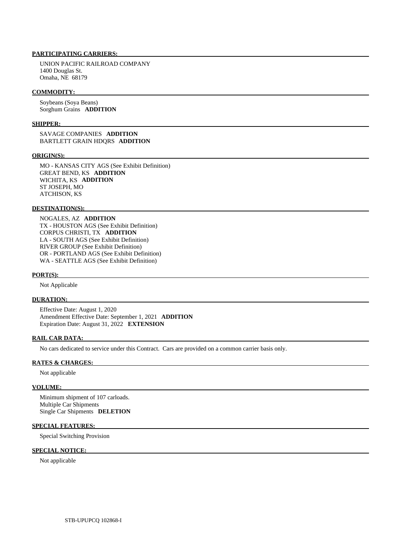#### **PARTICIPATING CARRIERS:**

 UNION PACIFIC RAILROAD COMPANY 1400 Douglas St. Omaha, NE 68179

#### **COMMODITY:**

 Soybeans (Soya Beans) Sorghum Grains **ADDITION** 

#### **SHIPPER:**

 SAVAGE COMPANIES **ADDITION**  BARTLETT GRAIN HDQRS **ADDITION** 

#### **ORIGIN(S):**

 MO - KANSAS CITY AGS (See Exhibit Definition) GREAT BEND, KS **ADDITION**  WICHITA, KS **ADDITION**  ST JOSEPH, MO ATCHISON, KS

#### **DESTINATION(S):**

 NOGALES, AZ **ADDITION**  TX - HOUSTON AGS (See Exhibit Definition) CORPUS CHRISTI, TX **ADDITION**  LA - SOUTH AGS (See Exhibit Definition) RIVER GROUP (See Exhibit Definition) OR - PORTLAND AGS (See Exhibit Definition) WA - SEATTLE AGS (See Exhibit Definition)

#### **PORT(S):**

Not Applicable

#### **DURATION:**

 Effective Date: August 1, 2020 Amendment Effective Date: September 1, 2021 **ADDITION**  Expiration Date: August 31, 2022 **EXTENSION** 

#### **RAIL CAR DATA:**

No cars dedicated to service under this Contract. Cars are provided on a common carrier basis only.

#### **RATES & CHARGES:**

Not applicable

#### **VOLUME:**

 Minimum shipment of 107 carloads. Multiple Car Shipments Single Car Shipments **DELETION** 

#### **SPECIAL FEATURES:**

Special Switching Provision

#### **SPECIAL NOTICE:**

Not applicable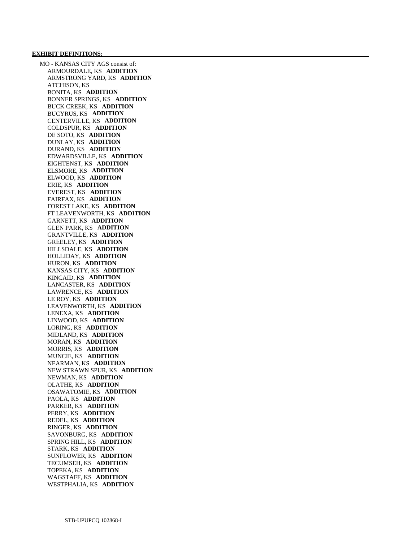MO - KANSAS CITY AGS consist of: ARMOURDALE, KS **ADDITION**  ARMSTRONG YARD, KS **ADDITION**  ATCHISON, KS BONITA, KS **ADDITION**  BONNER SPRINGS, KS **ADDITION**  BUCK CREEK, KS **ADDITION**  BUCYRUS, KS **ADDITION**  CENTERVILLE, KS **ADDITION**  COLDSPUR, KS **ADDITION**  DE SOTO, KS **ADDITION**  DUNLAY, KS **ADDITION**  DURAND, KS **ADDITION**  EDWARDSVILLE, KS **ADDITION**  EIGHTENST, KS **ADDITION**  ELSMORE, KS **ADDITION**  ELWOOD, KS **ADDITION**  ERIE, KS **ADDITION**  EVEREST, KS **ADDITION**  FAIRFAX, KS **ADDITION**  FOREST LAKE, KS **ADDITION**  FT LEAVENWORTH, KS **ADDITION**  GARNETT, KS **ADDITION**  GLEN PARK, KS **ADDITION**  GRANTVILLE, KS **ADDITION**  GREELEY, KS **ADDITION**  HILLSDALE, KS **ADDITION**  HOLLIDAY, KS **ADDITION**  HURON, KS **ADDITION**  KANSAS CITY, KS **ADDITION**  KINCAID, KS **ADDITION**  LANCASTER, KS **ADDITION**  LAWRENCE, KS **ADDITION**  LE ROY, KS **ADDITION**  LEAVENWORTH, KS **ADDITION**  LENEXA, KS **ADDITION**  LINWOOD, KS **ADDITION**  LORING, KS **ADDITION**  MIDLAND, KS **ADDITION**  MORAN, KS **ADDITION**  MORRIS, KS **ADDITION**  MUNCIE, KS **ADDITION**  NEARMAN, KS **ADDITION**  NEW STRAWN SPUR, KS **ADDITION**  NEWMAN, KS **ADDITION**  OLATHE, KS **ADDITION**  OSAWATOMIE, KS **ADDITION**  PAOLA, KS **ADDITION**  PARKER, KS **ADDITION**  PERRY, KS **ADDITION**  REDEL, KS **ADDITION**  RINGER, KS **ADDITION**  SAVONBURG, KS **ADDITION**  SPRING HILL, KS **ADDITION**  STARK, KS **ADDITION**  SUNFLOWER, KS **ADDITION**  TECUMSEH, KS **ADDITION**  TOPEKA, KS **ADDITION**  WAGSTAFF, KS **ADDITION**  WESTPHALIA, KS **ADDITION**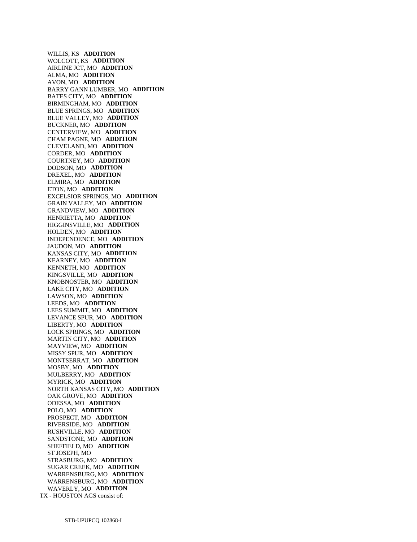WILLIS, KS **ADDITION**  WOLCOTT, KS **ADDITION**  AIRLINE JCT, MO **ADDITION**  ALMA, MO **ADDITION**  AVON, MO **ADDITION**  BARRY GANN LUMBER, MO **ADDITION**  BATES CITY, MO **ADDITION**  BIRMINGHAM, MO **ADDITION**  BLUE SPRINGS, MO **ADDITION**  BLUE VALLEY, MO **ADDITION**  BUCKNER, MO **ADDITION**  CENTERVIEW, MO **ADDITION**  CHAM PAGNE, MO **ADDITION**  CLEVELAND, MO **ADDITION**  CORDER, MO **ADDITION**  COURTNEY, MO **ADDITION**  DODSON, MO **ADDITION**  DREXEL, MO **ADDITION**  ELMIRA, MO **ADDITION**  ETON, MO **ADDITION**  EXCELSIOR SPRINGS, MO **ADDITION**  GRAIN VALLEY, MO **ADDITION**  GRANDVIEW, MO **ADDITION**  HENRIETTA, MO **ADDITION**  HIGGINSVILLE, MO **ADDITION**  HOLDEN, MO **ADDITION**  INDEPENDENCE, MO **ADDITION**  JAUDON, MO **ADDITION**  KANSAS CITY, MO **ADDITION**  KEARNEY, MO **ADDITION**  KENNETH, MO **ADDITION**  KINGSVILLE, MO **ADDITION**  KNOBNOSTER, MO **ADDITION**  LAKE CITY, MO **ADDITION**  LAWSON, MO **ADDITION**  LEEDS, MO **ADDITION**  LEES SUMMIT, MO **ADDITION**  LEVANCE SPUR, MO **ADDITION**  LIBERTY, MO **ADDITION**  LOCK SPRINGS, MO **ADDITION**  MARTIN CITY, MO **ADDITION**  MAYVIEW, MO **ADDITION**  MISSY SPUR, MO **ADDITION**  MONTSERRAT, MO **ADDITION**  MOSBY, MO **ADDITION**  MULBERRY, MO **ADDITION**  MYRICK, MO **ADDITION**  NORTH KANSAS CITY, MO **ADDITION**  OAK GROVE, MO **ADDITION**  ODESSA, MO **ADDITION**  POLO, MO **ADDITION**  PROSPECT, MO **ADDITION**  RIVERSIDE, MO **ADDITION**  RUSHVILLE, MO **ADDITION**  SANDSTONE, MO **ADDITION**  SHEFFIELD, MO **ADDITION**  ST JOSEPH, MO STRASBURG, MO **ADDITION**  SUGAR CREEK, MO **ADDITION**  WARRENSBURG, MO **ADDITION**  WARRENSBURG, MO **ADDITION**  WAVERLY, MO **ADDITION**  TX - HOUSTON AGS consist of: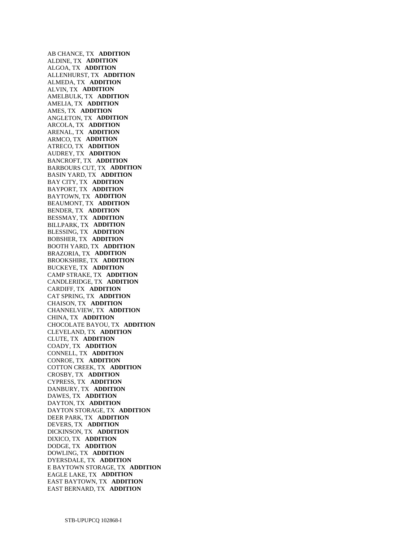AB CHANCE, TX **ADDITION**  ALDINE, TX **ADDITION**  ALGOA, TX **ADDITION**  ALLENHURST, TX **ADDITION**  ALMEDA, TX **ADDITION**  ALVIN, TX **ADDITION**  AMELBULK, TX **ADDITION**  AMELIA, TX **ADDITION**  AMES, TX **ADDITION**  ANGLETON, TX **ADDITION**  ARCOLA, TX **ADDITION**  ARENAL, TX **ADDITION**  ARMCO, TX **ADDITION**  ATRECO, TX **ADDITION**  AUDREY, TX **ADDITION**  BANCROFT, TX **ADDITION**  BARBOURS CUT, TX **ADDITION**  BASIN YARD, TX **ADDITION**  BAY CITY, TX **ADDITION**  BAYPORT, TX **ADDITION**  BAYTOWN, TX **ADDITION**  BEAUMONT, TX **ADDITION**  BENDER, TX **ADDITION**  BESSMAY, TX **ADDITION**  BILLPARK, TX **ADDITION**  BLESSING, TX **ADDITION**  BOBSHER, TX **ADDITION**  BOOTH YARD, TX **ADDITION**  BRAZORIA, TX **ADDITION**  BROOKSHIRE, TX **ADDITION**  BUCKEYE, TX **ADDITION**  CAMP STRAKE, TX **ADDITION**  CANDLERIDGE, TX **ADDITION**  CARDIFF, TX **ADDITION**  CAT SPRING, TX **ADDITION**  CHAISON, TX **ADDITION**  CHANNELVIEW, TX **ADDITION**  CHINA, TX **ADDITION**  CHOCOLATE BAYOU, TX **ADDITION**  CLEVELAND, TX **ADDITION**  CLUTE, TX **ADDITION**  COADY, TX **ADDITION**  CONNELL, TX **ADDITION**  CONROE, TX **ADDITION**  COTTON CREEK, TX **ADDITION**  CROSBY, TX **ADDITION**  CYPRESS, TX **ADDITION**  DANBURY, TX **ADDITION**  DAWES, TX **ADDITION**  DAYTON, TX **ADDITION**  DAYTON STORAGE, TX **ADDITION**  DEER PARK, TX **ADDITION**  DEVERS, TX **ADDITION**  DICKINSON, TX **ADDITION**  DIXICO, TX **ADDITION**  DODGE, TX **ADDITION**  DOWLING, TX **ADDITION**  DYERSDALE, TX **ADDITION**  E BAYTOWN STORAGE, TX **ADDITION**  EAGLE LAKE, TX **ADDITION**  EAST BAYTOWN, TX **ADDITION**  EAST BERNARD, TX **ADDITION**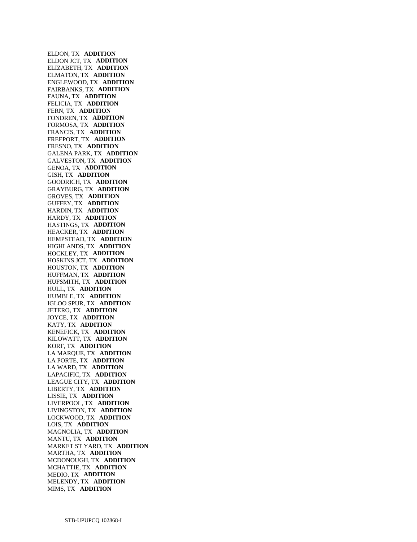ELDON, TX **ADDITION**  ELDON JCT, TX **ADDITION**  ELIZABETH, TX **ADDITION**  ELMATON, TX **ADDITION**  ENGLEWOOD, TX **ADDITION**  FAIRBANKS, TX **ADDITION**  FAUNA, TX **ADDITION**  FELICIA, TX **ADDITION**  FERN, TX **ADDITION**  FONDREN, TX **ADDITION**  FORMOSA, TX **ADDITION**  FRANCIS, TX **ADDITION**  FREEPORT, TX **ADDITION**  FRESNO, TX **ADDITION**  GALENA PARK, TX **ADDITION**  GALVESTON, TX **ADDITION**  GENOA, TX **ADDITION**  GISH, TX **ADDITION**  GOODRICH, TX **ADDITION**  GRAYBURG, TX **ADDITION**  GROVES, TX **ADDITION**  GUFFEY, TX **ADDITION**  HARDIN, TX **ADDITION**  HARDY, TX **ADDITION**  HASTINGS, TX **ADDITION**  HEACKER, TX **ADDITION**  HEMPSTEAD, TX **ADDITION**  HIGHLANDS, TX **ADDITION**  HOCKLEY, TX **ADDITION**  HOSKINS JCT, TX **ADDITION**  HOUSTON, TX **ADDITION**  HUFFMAN, TX **ADDITION**  HUFSMITH, TX **ADDITION**  HULL, TX **ADDITION**  HUMBLE, TX **ADDITION**  IGLOO SPUR, TX **ADDITION**  JETERO, TX **ADDITION**  JOYCE, TX **ADDITION**  KATY, TX **ADDITION**  KENEFICK, TX **ADDITION**  KILOWATT, TX **ADDITION**  KORF, TX **ADDITION**  LA MARQUE, TX **ADDITION**  LA PORTE, TX **ADDITION**  LA WARD, TX **ADDITION**  LAPACIFIC, TX **ADDITION**  LEAGUE CITY, TX **ADDITION**  LIBERTY, TX **ADDITION**  LISSIE, TX **ADDITION**  LIVERPOOL, TX **ADDITION**  LIVINGSTON, TX **ADDITION**  LOCKWOOD, TX **ADDITION**  LOIS, TX **ADDITION**  MAGNOLIA, TX **ADDITION**  MANTU, TX **ADDITION**  MARKET ST YARD, TX **ADDITION**  MARTHA, TX **ADDITION**  MCDONOUGH, TX **ADDITION**  MCHATTIE, TX **ADDITION**  MEDIO, TX **ADDITION**  MELENDY, TX **ADDITION**  MIMS, TX **ADDITION**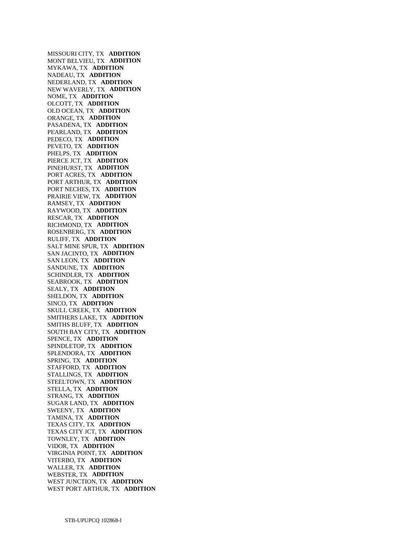MISSOURI CITY, TX **ADDITION**  MONT BELVIEU, TX **ADDITION**  MYKAWA, TX **ADDITION**  NADEAU, TX **ADDITION**  NEDERLAND, TX **ADDITION**  NEW WAVERLY, TX **ADDITION**  NOME, TX **ADDITION**  OLCOTT, TX **ADDITION**  OLD OCEAN, TX **ADDITION**  ORANGE, TX **ADDITION**  PASADENA, TX **ADDITION**  PEARLAND, TX **ADDITION**  PEDECO, TX **ADDITION**  PEVETO, TX **ADDITION**  PHELPS, TX **ADDITION**  PIERCE JCT, TX **ADDITION**  PINEHURST, TX **ADDITION**  PORT ACRES, TX **ADDITION**  PORT ARTHUR, TX **ADDITION**  PORT NECHES, TX **ADDITION**  PRAIRIE VIEW, TX **ADDITION**  RAMSEY, TX **ADDITION**  RAYWOOD, TX **ADDITION**  RESCAR, TX **ADDITION**  RICHMOND, TX **ADDITION**  ROSENBERG, TX **ADDITION**  RULIFF, TX **ADDITION**  SALT MINE SPUR, TX **ADDITION**  SAN JACINTO, TX **ADDITION**  SAN LEON, TX **ADDITION**  SANDUNE, TX **ADDITION**  SCHINDLER, TX **ADDITION**  SEABROOK, TX **ADDITION**  SEALY, TX **ADDITION**  SHELDON, TX **ADDITION**  SINCO, TX **ADDITION**  SKULL CREEK, TX **ADDITION**  SMITHERS LAKE, TX **ADDITION**  SMITHS BLUFF, TX **ADDITION**  SOUTH BAY CITY, TX **ADDITION**  SPENCE, TX **ADDITION**  SPINDLETOP, TX **ADDITION**  SPLENDORA, TX **ADDITION**  SPRING, TX **ADDITION**  STAFFORD, TX **ADDITION**  STALLINGS, TX **ADDITION**  STEELTOWN, TX **ADDITION**  STELLA, TX **ADDITION**  STRANG, TX **ADDITION**  SUGAR LAND, TX **ADDITION**  SWEENY, TX **ADDITION**  TAMINA, TX **ADDITION**  TEXAS CITY, TX **ADDITION**  TEXAS CITY JCT, TX **ADDITION**  TOWNLEY, TX **ADDITION**  VIDOR, TX **ADDITION**  VIRGINIA POINT, TX **ADDITION**  VITERBO, TX **ADDITION**  WALLER, TX **ADDITION**  WEBSTER, TX **ADDITION**  WEST JUNCTION, TX **ADDITION**  WEST PORT ARTHUR, TX **ADDITION**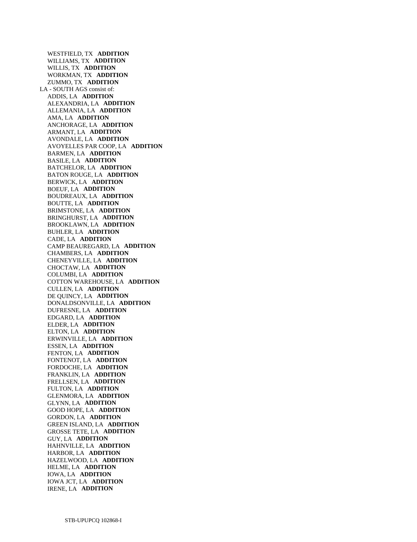WESTFIELD, TX **ADDITION**  WILLIAMS, TX **ADDITION**  WILLIS, TX **ADDITION**  WORKMAN, TX **ADDITION**  ZUMMO, TX **ADDITION**  LA - SOUTH AGS consist of: ADDIS, LA **ADDITION**  ALEXANDRIA, LA **ADDITION**  ALLEMANIA, LA **ADDITION**  AMA, LA **ADDITION**  ANCHORAGE, LA **ADDITION**  ARMANT, LA **ADDITION**  AVONDALE, LA **ADDITION**  AVOYELLES PAR COOP, LA **ADDITION**  BARMEN, LA **ADDITION**  BASILE, LA **ADDITION**  BATCHELOR, LA **ADDITION**  BATON ROUGE, LA **ADDITION**  BERWICK, LA **ADDITION**  BOEUF, LA **ADDITION**  BOUDREAUX, LA **ADDITION**  BOUTTE, LA **ADDITION**  BRIMSTONE, LA **ADDITION**  BRINGHURST, LA **ADDITION**  BROOKLAWN, LA **ADDITION**  BUHLER, LA **ADDITION**  CADE, LA **ADDITION**  CAMP BEAUREGARD, LA **ADDITION**  CHAMBERS, LA **ADDITION**  CHENEYVILLE, LA **ADDITION**  CHOCTAW, LA **ADDITION**  COLUMBI, LA **ADDITION**  COTTON WAREHOUSE, LA **ADDITION**  CULLEN, LA **ADDITION**  DE QUINCY, LA **ADDITION**  DONALDSONVILLE, LA **ADDITION**  DUFRESNE, LA **ADDITION**  EDGARD, LA **ADDITION**  ELDER, LA **ADDITION**  ELTON, LA **ADDITION**  ERWINVILLE, LA **ADDITION**  ESSEN, LA **ADDITION**  FENTON, LA **ADDITION**  FONTENOT, LA **ADDITION**  FORDOCHE, LA **ADDITION**  FRANKLIN, LA **ADDITION**  FRELLSEN, LA **ADDITION**  FULTON, LA **ADDITION**  GLENMORA, LA **ADDITION**  GLYNN, LA **ADDITION**  GOOD HOPE, LA **ADDITION**  GORDON, LA **ADDITION**  GREEN ISLAND, LA **ADDITION**  GROSSE TETE, LA **ADDITION**  GUY, LA **ADDITION**  HAHNVILLE, LA **ADDITION**  HARBOR, LA **ADDITION**  HAZELWOOD, LA **ADDITION**  HELME, LA **ADDITION**  IOWA, LA **ADDITION**  IOWA JCT, LA **ADDITION**  IRENE, LA **ADDITION**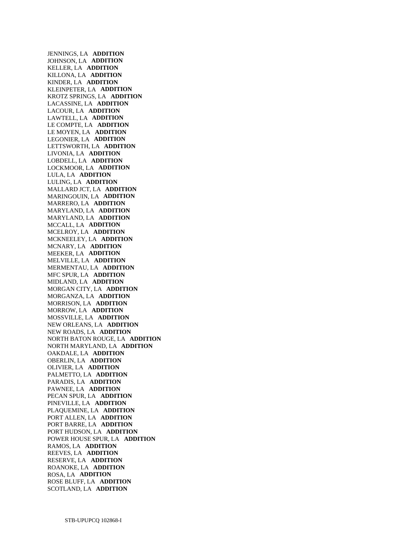JENNINGS, LA **ADDITION**  JOHNSON, LA **ADDITION**  KELLER, LA **ADDITION**  KILLONA, LA **ADDITION**  KINDER, LA **ADDITION**  KLEINPETER, LA **ADDITION**  KROTZ SPRINGS, LA **ADDITION**  LACASSINE, LA **ADDITION**  LACOUR, LA **ADDITION**  LAWTELL, LA **ADDITION**  LE COMPTE, LA **ADDITION**  LE MOYEN, LA **ADDITION**  LEGONIER, LA **ADDITION**  LETTSWORTH, LA **ADDITION**  LIVONIA, LA **ADDITION**  LOBDELL, LA **ADDITION**  LOCKMOOR, LA **ADDITION**  LULA, LA **ADDITION**  LULING, LA **ADDITION**  MALLARD JCT, LA **ADDITION**  MARINGOUIN, LA **ADDITION**  MARRERO, LA **ADDITION**  MARYLAND, LA **ADDITION**  MARYLAND, LA **ADDITION**  MCCALL, LA **ADDITION**  MCELROY, LA **ADDITION**  MCKNEELEY, LA **ADDITION**  MCNARY, LA **ADDITION**  MEEKER, LA **ADDITION**  MELVILLE, LA **ADDITION**  MERMENTAU, LA **ADDITION**  MFC SPUR, LA **ADDITION**  MIDLAND, LA **ADDITION**  MORGAN CITY, LA **ADDITION**  MORGANZA, LA **ADDITION**  MORRISON, LA **ADDITION**  MORROW, LA **ADDITION**  MOSSVILLE, LA **ADDITION**  NEW ORLEANS, LA **ADDITION**  NEW ROADS, LA **ADDITION**  NORTH BATON ROUGE, LA **ADDITION**  NORTH MARYLAND, LA **ADDITION**  OAKDALE, LA **ADDITION**  OBERLIN, LA **ADDITION**  OLIVIER, LA **ADDITION**  PALMETTO, LA **ADDITION**  PARADIS, LA **ADDITION**  PAWNEE, LA **ADDITION**  PECAN SPUR, LA **ADDITION**  PINEVILLE, LA **ADDITION**  PLAQUEMINE, LA **ADDITION**  PORT ALLEN, LA **ADDITION**  PORT BARRE, LA **ADDITION**  PORT HUDSON, LA **ADDITION**  POWER HOUSE SPUR, LA **ADDITION**  RAMOS, LA **ADDITION**  REEVES, LA **ADDITION**  RESERVE, LA **ADDITION**  ROANOKE, LA **ADDITION**  ROSA, LA **ADDITION**  ROSE BLUFF, LA **ADDITION**  SCOTLAND, LA **ADDITION**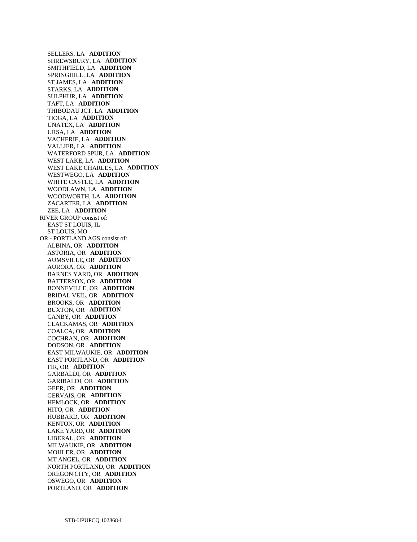SELLERS, LA **ADDITION**  SHREWSBURY, LA **ADDITION**  SMITHFIELD, LA **ADDITION**  SPRINGHILL, LA **ADDITION**  ST JAMES, LA **ADDITION**  STARKS, LA **ADDITION**  SULPHUR, LA **ADDITION**  TAFT, LA **ADDITION**  THIBODAU JCT, LA **ADDITION**  TIOGA, LA **ADDITION**  UNATEX, LA **ADDITION**  URSA, LA **ADDITION**  VACHERIE, LA **ADDITION**  VALLIER, LA **ADDITION**  WATERFORD SPUR, LA **ADDITION**  WEST LAKE, LA **ADDITION**  WEST LAKE CHARLES, LA **ADDITION**  WESTWEGO, LA **ADDITION**  WHITE CASTLE, LA **ADDITION**  WOODLAWN, LA **ADDITION**  WOODWORTH, LA **ADDITION**  ZACARTER, LA **ADDITION**  ZEE, LA **ADDITION**  RIVER GROUP consist of: EAST ST LOUIS, IL ST LOUIS, MO OR - PORTLAND AGS consist of: ALBINA, OR **ADDITION**  ASTORIA, OR **ADDITION**  AUMSVILLE, OR **ADDITION**  AURORA, OR **ADDITION**  BARNES YARD, OR **ADDITION**  BATTERSON, OR **ADDITION**  BONNEVILLE, OR **ADDITION**  BRIDAL VEIL, OR **ADDITION**  BROOKS, OR **ADDITION**  BUXTON, OR **ADDITION**  CANBY, OR **ADDITION**  CLACKAMAS, OR **ADDITION**  COALCA, OR **ADDITION**  COCHRAN, OR **ADDITION**  DODSON, OR **ADDITION**  EAST MILWAUKIE, OR **ADDITION**  EAST PORTLAND, OR **ADDITION**  FIR, OR **ADDITION**  GARBALDI, OR **ADDITION**  GARIBALDI, OR **ADDITION**  GEER, OR **ADDITION**  GERVAIS, OR **ADDITION**  HEMLOCK, OR **ADDITION**  HITO, OR **ADDITION**  HUBBARD, OR **ADDITION**  KENTON, OR **ADDITION**  LAKE YARD, OR **ADDITION**  LIBERAL, OR **ADDITION**  MILWAUKIE, OR **ADDITION**  MOHLER, OR **ADDITION**  MT ANGEL, OR **ADDITION**  NORTH PORTLAND, OR **ADDITION**  OREGON CITY, OR **ADDITION**  OSWEGO, OR **ADDITION**  PORTLAND, OR **ADDITION**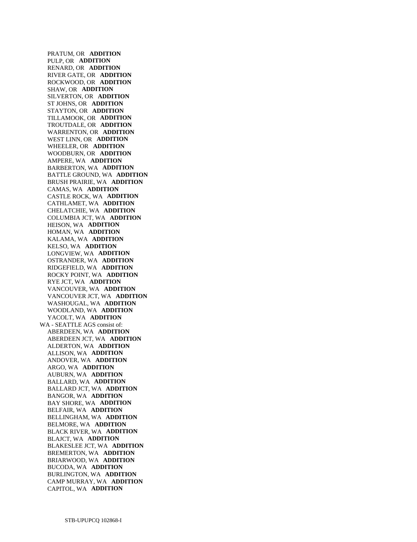PRATUM, OR **ADDITION**  PULP, OR **ADDITION**  RENARD, OR **ADDITION**  RIVER GATE, OR **ADDITION**  ROCKWOOD, OR **ADDITION**  SHAW, OR **ADDITION**  SILVERTON, OR **ADDITION**  ST JOHNS, OR **ADDITION**  STAYTON, OR **ADDITION**  TILLAMOOK, OR **ADDITION**  TROUTDALE, OR **ADDITION**  WARRENTON, OR **ADDITION**  WEST LINN, OR **ADDITION**  WHEELER, OR **ADDITION**  WOODBURN, OR **ADDITION**  AMPERE, WA **ADDITION**  BARBERTON, WA **ADDITION**  BATTLE GROUND, WA **ADDITION**  BRUSH PRAIRIE, WA **ADDITION**  CAMAS, WA **ADDITION**  CASTLE ROCK, WA **ADDITION**  CATHLAMET, WA **ADDITION**  CHELATCHIE, WA **ADDITION**  COLUMBIA JCT, WA **ADDITION**  HEISON, WA **ADDITION**  HOMAN, WA **ADDITION**  KALAMA, WA **ADDITION**  KELSO, WA **ADDITION**  LONGVIEW, WA **ADDITION**  OSTRANDER, WA **ADDITION**  RIDGEFIELD, WA **ADDITION**  ROCKY POINT, WA **ADDITION**  RYE JCT, WA **ADDITION**  VANCOUVER, WA **ADDITION**  VANCOUVER JCT, WA **ADDITION**  WASHOUGAL, WA **ADDITION**  WOODLAND, WA **ADDITION**  YACOLT, WA **ADDITION**  WA - SEATTLE AGS consist of: ABERDEEN, WA **ADDITION**  ABERDEEN JCT, WA **ADDITION**  ALDERTON, WA **ADDITION**  ALLISON, WA **ADDITION**  ANDOVER, WA **ADDITION**  ARGO, WA **ADDITION**  AUBURN, WA **ADDITION**  BALLARD, WA **ADDITION**  BALLARD JCT, WA **ADDITION**  BANGOR, WA **ADDITION**  BAY SHORE, WA **ADDITION**  BELFAIR, WA **ADDITION**  BELLINGHAM, WA **ADDITION**  BELMORE, WA **ADDITION**  BLACK RIVER, WA **ADDITION**  BLAJCT, WA **ADDITION**  BLAKESLEE JCT, WA **ADDITION**  BREMERTON, WA **ADDITION**  BRIARWOOD, WA **ADDITION**  BUCODA, WA **ADDITION**  BURLINGTON, WA **ADDITION**  CAMP MURRAY, WA **ADDITION**  CAPITOL, WA **ADDITION**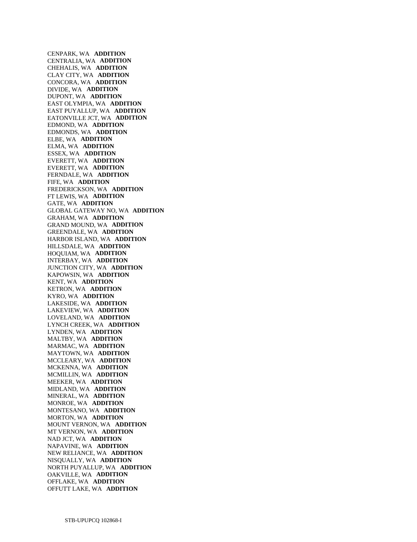CENPARK, WA **ADDITION**  CENTRALIA, WA **ADDITION**  CHEHALIS, WA **ADDITION**  CLAY CITY, WA **ADDITION**  CONCORA, WA **ADDITION**  DIVIDE, WA **ADDITION**  DUPONT, WA **ADDITION**  EAST OLYMPIA, WA **ADDITION**  EAST PUYALLUP, WA **ADDITION**  EATONVILLE JCT, WA **ADDITION**  EDMOND, WA **ADDITION**  EDMONDS, WA **ADDITION**  ELBE, WA **ADDITION**  ELMA, WA **ADDITION**  ESSEX, WA **ADDITION**  EVERETT, WA **ADDITION**  EVERETT, WA **ADDITION**  FERNDALE, WA **ADDITION**  FIFE, WA **ADDITION**  FREDERICKSON, WA **ADDITION**  FT LEWIS, WA **ADDITION**  GATE, WA **ADDITION**  GLOBAL GATEWAY NO, WA **ADDITION**  GRAHAM, WA **ADDITION**  GRAND MOUND, WA **ADDITION**  GREENDALE, WA **ADDITION**  HARBOR ISLAND, WA **ADDITION**  HILLSDALE, WA **ADDITION**  HOQUIAM, WA **ADDITION**  INTERBAY, WA **ADDITION**  JUNCTION CITY, WA **ADDITION**  KAPOWSIN, WA **ADDITION**  KENT, WA **ADDITION**  KETRON, WA **ADDITION**  KYRO, WA **ADDITION**  LAKESIDE, WA **ADDITION**  LAKEVIEW, WA **ADDITION**  LOVELAND, WA **ADDITION**  LYNCH CREEK, WA **ADDITION**  LYNDEN, WA **ADDITION**  MALTBY, WA **ADDITION**  MARMAC, WA **ADDITION**  MAYTOWN, WA **ADDITION**  MCCLEARY, WA **ADDITION**  MCKENNA, WA **ADDITION**  MCMILLIN, WA **ADDITION**  MEEKER, WA **ADDITION**  MIDLAND, WA **ADDITION**  MINERAL, WA **ADDITION**  MONROE, WA **ADDITION**  MONTESANO, WA **ADDITION**  MORTON, WA **ADDITION**  MOUNT VERNON, WA **ADDITION**  MT VERNON, WA **ADDITION**  NAD JCT, WA **ADDITION**  NAPAVINE, WA **ADDITION**  NEW RELIANCE, WA **ADDITION**  NISQUALLY, WA **ADDITION**  NORTH PUYALLUP, WA **ADDITION**  OAKVILLE, WA **ADDITION**  OFFLAKE, WA **ADDITION**  OFFUTT LAKE, WA **ADDITION**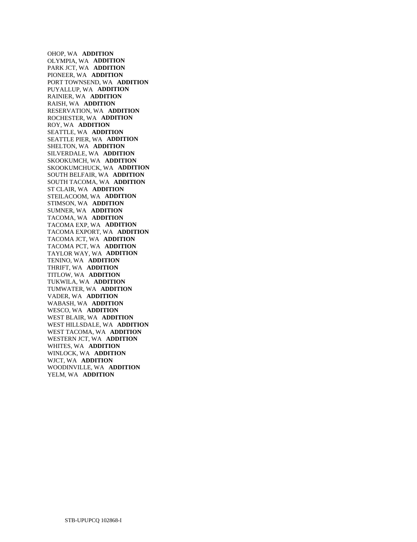OHOP, WA **ADDITION**  OLYMPIA, WA **ADDITION**  PARK JCT, WA **ADDITION**  PIONEER, WA **ADDITION**  PORT TOWNSEND, WA **ADDITION**  PUYALLUP, WA **ADDITION**  RAINIER, WA **ADDITION**  RAISH, WA **ADDITION**  RESERVATION, WA **ADDITION**  ROCHESTER, WA **ADDITION**  ROY, WA **ADDITION**  SEATTLE, WA **ADDITION**  SEATTLE PIER, WA **ADDITION**  SHELTON, WA **ADDITION**  SILVERDALE, WA **ADDITION**  SKOOKUMCH, WA **ADDITION**  SKOOKUMCHUCK, WA **ADDITION**  SOUTH BELFAIR, WA **ADDITION**  SOUTH TACOMA, WA **ADDITION**  ST CLAIR, WA **ADDITION**  STEILACOOM, WA **ADDITION**  STIMSON, WA **ADDITION**  SUMNER, WA **ADDITION**  TACOMA, WA **ADDITION**  TACOMA EXP, WA **ADDITION**  TACOMA EXPORT, WA **ADDITION**  TACOMA JCT, WA **ADDITION**  TACOMA PCT, WA **ADDITION**  TAYLOR WAY, WA **ADDITION**  TENINO, WA **ADDITION**  THRIFT, WA **ADDITION**  TITLOW, WA **ADDITION**  TUKWILA, WA **ADDITION**  TUMWATER, WA **ADDITION**  VADER, WA **ADDITION**  WABASH, WA **ADDITION**  WESCO, WA **ADDITION**  WEST BLAIR, WA **ADDITION**  WEST HILLSDALE, WA **ADDITION**  WEST TACOMA, WA **ADDITION**  WESTERN JCT, WA **ADDITION**  WHITES, WA **ADDITION**  WINLOCK, WA **ADDITION**  WJCT, WA **ADDITION**  WOODINVILLE, WA **ADDITION**  YELM, WA **ADDITION**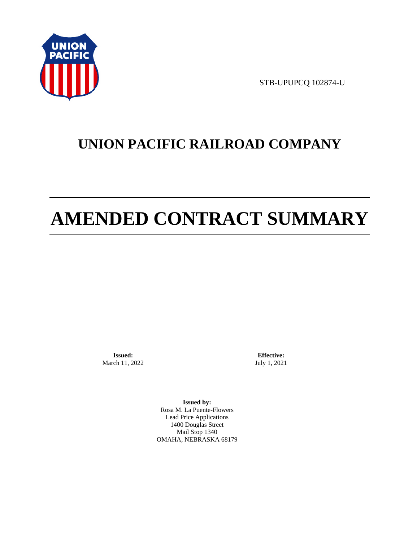

STB-UPUPCQ 102874-U

# **UNION PACIFIC RAILROAD COMPANY**

# **AMENDED CONTRACT SUMMARY**

**Issued:**  March 11, 2022

**Effective:** July 1, 2021

**Issued by:**  Rosa M. La Puente-Flowers Lead Price Applications 1400 Douglas Street Mail Stop 1340 OMAHA, NEBRASKA 68179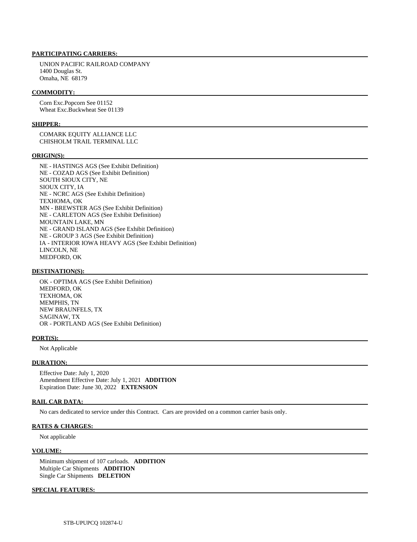#### **PARTICIPATING CARRIERS:**

 UNION PACIFIC RAILROAD COMPANY 1400 Douglas St. Omaha, NE 68179

#### **COMMODITY:**

 Corn Exc.Popcorn See 01152 Wheat Exc.Buckwheat See 01139

#### **SHIPPER:**

 COMARK EQUITY ALLIANCE LLC CHISHOLM TRAIL TERMINAL LLC

#### **ORIGIN(S):**

 NE - HASTINGS AGS (See Exhibit Definition) NE - COZAD AGS (See Exhibit Definition) SOUTH SIOUX CITY, NE SIOUX CITY, IA NE - NCRC AGS (See Exhibit Definition) TEXHOMA, OK MN - BREWSTER AGS (See Exhibit Definition) NE - CARLETON AGS (See Exhibit Definition) MOUNTAIN LAKE, MN NE - GRAND ISLAND AGS (See Exhibit Definition) NE - GROUP 3 AGS (See Exhibit Definition) IA - INTERIOR IOWA HEAVY AGS (See Exhibit Definition) LINCOLN, NE MEDFORD, OK

#### **DESTINATION(S):**

 OK - OPTIMA AGS (See Exhibit Definition) MEDFORD, OK TEXHOMA, OK MEMPHIS, TN NEW BRAUNFELS, TX SAGINAW, TX OR - PORTLAND AGS (See Exhibit Definition)

#### **PORT(S):**

Not Applicable

#### **DURATION:**

 Effective Date: July 1, 2020 Amendment Effective Date: July 1, 2021 **ADDITION**  Expiration Date: June 30, 2022 **EXTENSION** 

#### **RAIL CAR DATA:**

No cars dedicated to service under this Contract. Cars are provided on a common carrier basis only.

#### **RATES & CHARGES:**

Not applicable

#### **VOLUME:**

 Minimum shipment of 107 carloads. **ADDITION**  Multiple Car Shipments **ADDITION**  Single Car Shipments **DELETION** 

#### **SPECIAL FEATURES:**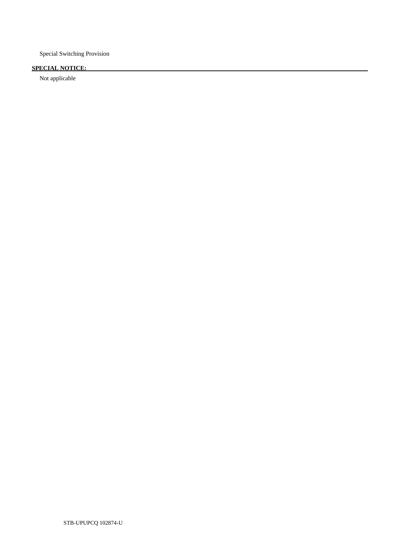Special Switching Provision

## **SPECIAL NOTICE:**

Not applicable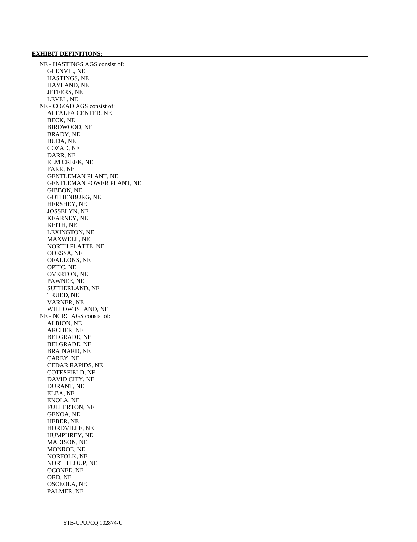#### **EXHIBIT DEFINITIONS:**

 NE - HASTINGS AGS consist of: GLENVIL, NE HASTINGS, NE HAYLAND, NE JEFFERS, NE LEVEL, NE NE - COZAD AGS consist of: ALFALFA CENTER, NE BECK, NE BIRDWOOD, NE BRADY, NE BUDA, NE COZAD, NE DARR, NE ELM CREEK, NE FARR, NE GENTLEMAN PLANT, NE GENTLEMAN POWER PLANT, NE GIBBON, NE GOTHENBURG, NE HERSHEY, NE JOSSELYN, NE KEARNEY, NE KEITH, NE LEXINGTON, NE MAXWELL, NE NORTH PLATTE, NE ODESSA, NE OFALLONS, NE OPTIC, NE OVERTON, NE PAWNEE, NE SUTHERLAND, NE TRUED, NE VARNER, NE WILLOW ISLAND, NE NE - NCRC AGS consist of: ALBION, NE ARCHER, NE BELGRADE, NE BELGRADE, NE BRAINARD, NE CAREY, NE CEDAR RAPIDS, NE COTESFIELD, NE DAVID CITY, NE DURANT, NE ELBA, NE ENOLA, NE FULLERTON, NE GENOA, NE HEBER, NE HORDVILLE, NE HUMPHREY, NE MADISON, NE MONROE, NE NORFOLK, NE NORTH LOUP, NE OCONEE, NE ORD, NE OSCEOLA, NE PALMER, NE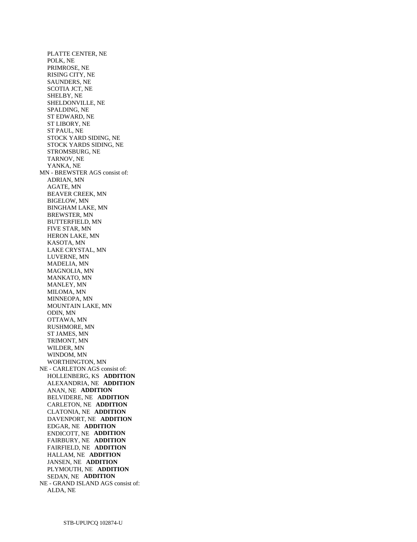PLATTE CENTER, NE POLK, NE PRIMROSE, NE RISING CITY, NE SAUNDERS, NE SCOTIA JCT, NE SHELBY, NE SHELDONVILLE, NE SPALDING, NE ST EDWARD, NE ST LIBORY, NE ST PAUL, NE STOCK YARD SIDING, NE STOCK YARDS SIDING, NE STROMSBURG, NE TARNOV, NE YANKA, NE MN - BREWSTER AGS consist of: ADRIAN, MN AGATE, MN BEAVER CREEK, MN BIGELOW, MN BINGHAM LAKE, MN BREWSTER, MN BUTTERFIELD, MN FIVE STAR, MN HERON LAKE, MN KASOTA, MN LAKE CRYSTAL, MN LUVERNE, MN MADELIA, MN MAGNOLIA, MN MANKATO, MN MANLEY, MN MILOMA, MN MINNEOPA, MN MOUNTAIN LAKE, MN ODIN, MN OTTAWA, MN RUSHMORE, MN ST JAMES, MN TRIMONT, MN WILDER, MN WINDOM, MN WORTHINGTON, MN NE - CARLETON AGS consist of: HOLLENBERG, KS **ADDITION**  ALEXANDRIA, NE **ADDITION**  ANAN, NE **ADDITION**  BELVIDERE, NE **ADDITION**  CARLETON, NE **ADDITION**  CLATONIA, NE **ADDITION**  DAVENPORT, NE **ADDITION**  EDGAR, NE **ADDITION**  ENDICOTT, NE **ADDITION**  FAIRBURY, NE **ADDITION**  FAIRFIELD, NE **ADDITION**  HALLAM, NE **ADDITION**  JANSEN, NE **ADDITION**  PLYMOUTH, NE **ADDITION**  SEDAN, NE **ADDITION**  NE - GRAND ISLAND AGS consist of: ALDA, NE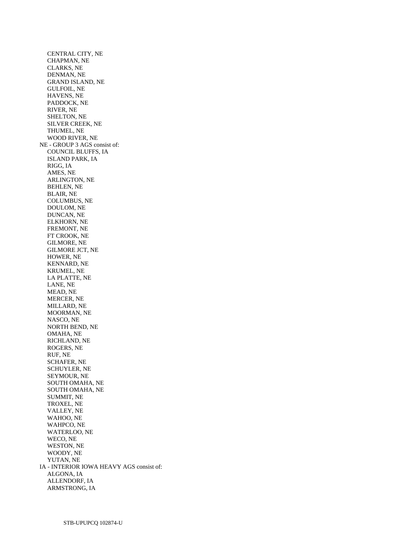CENTRAL CITY, NE CHAPMAN, NE CLARKS, NE DENMAN, NE GRAND ISLAND, NE GULFOIL, NE HAVENS, NE PADDOCK, NE RIVER, NE SHELTON, NE SILVER CREEK, NE THUMEL, NE WOOD RIVER, NE NE - GROUP 3 AGS consist of: COUNCIL BLUFFS, IA ISLAND PARK, IA RIGG, IA AMES, NE ARLINGTON, NE BEHLEN, NE BLAIR, NE COLUMBUS, NE DOULOM, NE DUNCAN, NE ELKHORN, NE FREMONT, NE FT CROOK, NE GILMORE, NE GILMORE JCT, NE HOWER, NE KENNARD, NE KRUMEL, NE LA PLATTE, NE LANE, NE MEAD, NE MERCER, NE MILLARD, NE MOORMAN, NE NASCO, NE NORTH BEND, NE OMAHA, NE RICHLAND, NE ROGERS, NE RUF, NE SCHAFER, NE SCHUYLER, NE SEYMOUR, NE SOUTH OMAHA, NE SOUTH OMAHA, NE SUMMIT, NE TROXEL, NE VALLEY, NE WAHOO, NE WAHPCO, NE WATERLOO, NE WECO, NE WESTON, NE WOODY, NE YUTAN, NE IA - INTERIOR IOWA HEAVY AGS consist of: ALGONA, IA ALLENDORF, IA ARMSTRONG, IA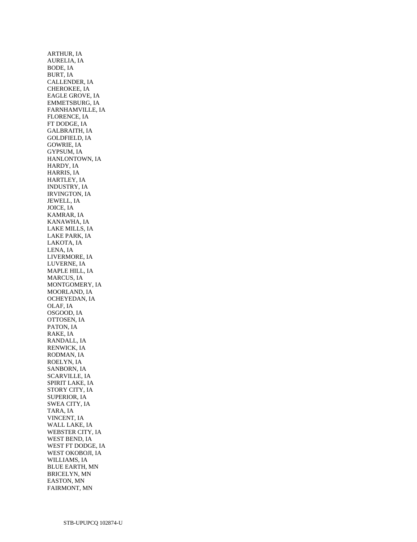ARTHUR, IA AURELIA, IA BODE, IA BURT, IA CALLENDER, IA CHEROKEE, IA EAGLE GROVE, IA EMMETSBURG, IA FARNHAMVILLE, IA FLORENCE, IA FT DODGE, IA GALBRAITH, IA GOLDFIELD, IA GOWRIE, IA GYPSUM, IA HANLONTOWN, IA HARDY, IA HARRIS, IA HARTLEY, IA INDUSTRY, IA IRVINGTON, IA JEWELL, IA JOICE, IA KAMRAR, IA KANAWHA, IA LAKE MILLS, IA LAKE PARK, IA LAKOTA, IA LENA, IA LIVERMORE, IA LUVERNE, IA MAPLE HILL, IA MARCUS, IA MONTGOMERY, IA MOORLAND, IA OCHEYEDAN, IA OLAF, IA OSGOOD, IA OTTOSEN, IA PATON, IA RAKE, IA RANDALL, IA RENWICK, IA RODMAN, IA ROELYN, IA SANBORN, IA SCARVILLE, IA SPIRIT LAKE, IA STORY CITY, IA SUPERIOR, IA SWEA CITY, IA TARA, IA VINCENT, IA WALL LAKE, IA WEBSTER CITY, IA WEST BEND, IA WEST FT DODGE, IA WEST OKOBOJI, IA WILLIAMS, IA BLUE EARTH, MN BRICELYN, MN EASTON, MN FAIRMONT, MN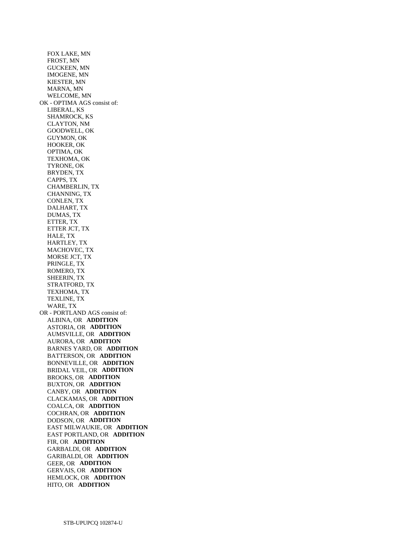FOX LAKE, MN FROST, MN GUCKEEN, MN IMOGENE, MN KIESTER, MN MARNA, MN WELCOME, MN OK - OPTIMA AGS consist of: LIBERAL, KS SHAMROCK, KS CLAYTON, NM GOODWELL, OK GUYMON, OK HOOKER, OK OPTIMA, OK TEXHOMA, OK TYRONE, OK BRYDEN, TX CAPPS, TX CHAMBERLIN, TX CHANNING, TX CONLEN, TX DALHART, TX DUMAS, TX ETTER, TX ETTER JCT, TX HALE, TX HARTLEY, TX MACHOVEC, TX MORSE JCT, TX PRINGLE, TX ROMERO, TX SHEERIN, TX STRATFORD, TX TEXHOMA, TX TEXLINE, TX WARE, TX OR - PORTLAND AGS consist of: ALBINA, OR **ADDITION**  ASTORIA, OR **ADDITION**  AUMSVILLE, OR **ADDITION**  AURORA, OR **ADDITION**  BARNES YARD, OR **ADDITION**  BATTERSON, OR **ADDITION**  BONNEVILLE, OR **ADDITION**  BRIDAL VEIL, OR **ADDITION**  BROOKS, OR **ADDITION**  BUXTON, OR **ADDITION**  CANBY, OR **ADDITION**  CLACKAMAS, OR **ADDITION**  COALCA, OR **ADDITION**  COCHRAN, OR **ADDITION**  DODSON, OR **ADDITION**  EAST MILWAUKIE, OR **ADDITION**  EAST PORTLAND, OR **ADDITION**  FIR, OR **ADDITION**  GARBALDI, OR **ADDITION**  GARIBALDI, OR **ADDITION**  GEER, OR **ADDITION**  GERVAIS, OR **ADDITION**  HEMLOCK, OR **ADDITION**  HITO, OR **ADDITION**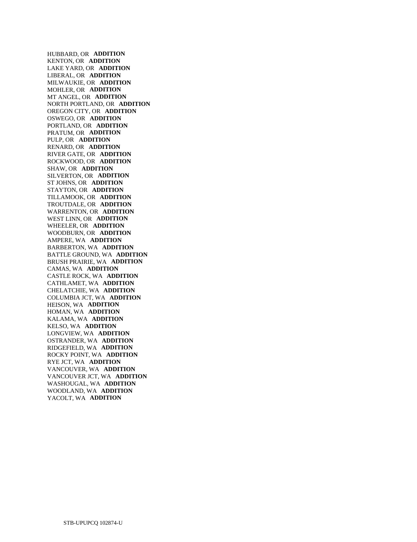HUBBARD, OR **ADDITION**  KENTON, OR **ADDITION**  LAKE YARD, OR **ADDITION**  LIBERAL, OR **ADDITION**  MILWAUKIE, OR **ADDITION**  MOHLER, OR **ADDITION**  MT ANGEL, OR **ADDITION**  NORTH PORTLAND, OR **ADDITION**  OREGON CITY, OR **ADDITION**  OSWEGO, OR **ADDITION**  PORTLAND, OR **ADDITION**  PRATUM, OR **ADDITION**  PULP, OR **ADDITION**  RENARD, OR **ADDITION**  RIVER GATE, OR **ADDITION**  ROCKWOOD, OR **ADDITION**  SHAW, OR **ADDITION**  SILVERTON, OR **ADDITION**  ST JOHNS, OR **ADDITION**  STAYTON, OR **ADDITION**  TILLAMOOK, OR **ADDITION**  TROUTDALE, OR **ADDITION**  WARRENTON, OR **ADDITION**  WEST LINN, OR **ADDITION**  WHEELER, OR **ADDITION**  WOODBURN, OR **ADDITION**  AMPERE, WA **ADDITION**  BARBERTON, WA **ADDITION**  BATTLE GROUND, WA **ADDITION**  BRUSH PRAIRIE, WA **ADDITION**  CAMAS, WA **ADDITION**  CASTLE ROCK, WA **ADDITION**  CATHLAMET, WA **ADDITION**  CHELATCHIE, WA **ADDITION**  COLUMBIA JCT, WA **ADDITION**  HEISON, WA **ADDITION**  HOMAN, WA **ADDITION**  KALAMA, WA **ADDITION**  KELSO, WA **ADDITION**  LONGVIEW, WA **ADDITION**  OSTRANDER, WA **ADDITION**  RIDGEFIELD, WA **ADDITION**  ROCKY POINT, WA **ADDITION**  RYE JCT, WA **ADDITION**  VANCOUVER, WA **ADDITION**  VANCOUVER JCT, WA **ADDITION**  WASHOUGAL, WA **ADDITION**  WOODLAND, WA **ADDITION**  YACOLT, WA **ADDITION**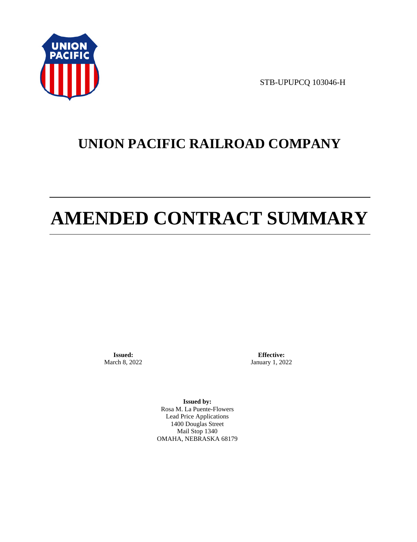

STB-UPUPCQ 103046-H

# **UNION PACIFIC RAILROAD COMPANY**

# **AMENDED CONTRACT SUMMARY**

**Issued:**  March 8, 2022

**Effective:** January 1, 2022

**Issued by:**  Rosa M. La Puente-Flowers Lead Price Applications 1400 Douglas Street Mail Stop 1340 OMAHA, NEBRASKA 68179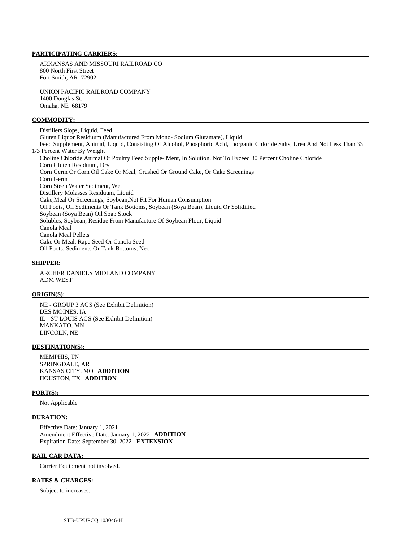#### **PARTICIPATING CARRIERS:**

 ARKANSAS AND MISSOURI RAILROAD CO 800 North First Street Fort Smith, AR 72902

 UNION PACIFIC RAILROAD COMPANY 1400 Douglas St. Omaha, NE 68179

#### **COMMODITY:**

 Distillers Slops, Liquid, Feed Gluten Liquor Residuum (Manufactured From Mono- Sodium Glutamate), Liquid Feed Supplement, Animal, Liquid, Consisting Of Alcohol, Phosphoric Acid, Inorganic Chloride Salts, Urea And Not Less Than 33 1/3 Percent Water By Weight Choline Chloride Animal Or Poultry Feed Supple- Ment, In Solution, Not To Exceed 80 Percent Choline Chloride Corn Gluten Residuum, Dry Corn Germ Or Corn Oil Cake Or Meal, Crushed Or Ground Cake, Or Cake Screenings Corn Germ Corn Steep Water Sediment, Wet Distillery Molasses Residuum, Liquid Cake,Meal Or Screenings, Soybean,Not Fit For Human Consumption Oil Foots, Oil Sediments Or Tank Bottoms, Soybean (Soya Bean), Liquid Or Solidified Soybean (Soya Bean) Oil Soap Stock Solubles, Soybean, Residue From Manufacture Of Soybean Flour, Liquid Canola Meal Canola Meal Pellets Cake Or Meal, Rape Seed Or Canola Seed Oil Foots, Sediments Or Tank Bottoms, Nec

#### **SHIPPER:**

 ARCHER DANIELS MIDLAND COMPANY ADM WEST

#### **ORIGIN(S):**

 NE - GROUP 3 AGS (See Exhibit Definition) DES MOINES, IA IL - ST LOUIS AGS (See Exhibit Definition) MANKATO, MN LINCOLN, NE

#### **DESTINATION(S):**

 MEMPHIS, TN SPRINGDALE, AR KANSAS CITY, MO **ADDITION**  HOUSTON, TX **ADDITION** 

#### **PORT(S):**

Not Applicable

#### **DURATION:**

 Effective Date: January 1, 2021 Amendment Effective Date: January 1, 2022 **ADDITION**  Expiration Date: September 30, 2022 **EXTENSION** 

#### **RAIL CAR DATA:**

Carrier Equipment not involved.

#### **RATES & CHARGES:**

Subject to increases.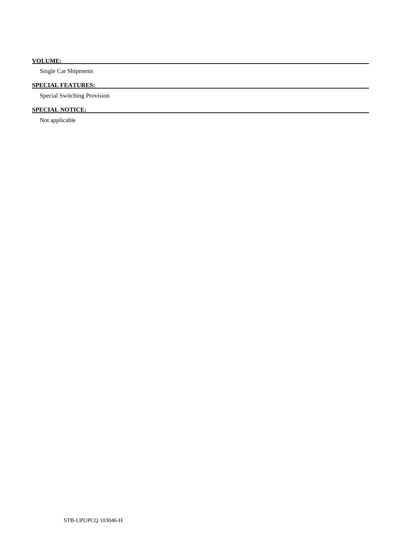### **VOLUME:**

Single Car Shipments

### **SPECIAL FEATURES:**

Special Switching Provision

### **SPECIAL NOTICE:**

Not applicable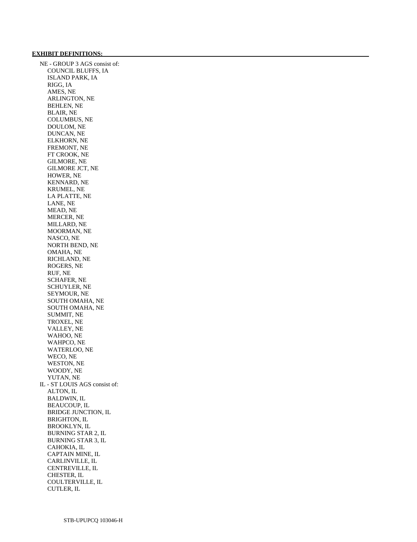# **EXHIBIT DEFINITIONS:**

 NE - GROUP 3 AGS consist of: COUNCIL BLUFFS, IA ISLAND PARK, IA RIGG, IA AMES, NE ARLINGTON, NE BEHLEN, NE BLAIR, NE COLUMBUS, NE DOULOM, NE DUNCAN, NE ELKHORN, NE FREMONT, NE FT CROOK, NE GILMORE, NE GILMORE JCT, NE HOWER, NE KENNARD, NE KRUMEL, NE LA PLATTE, NE LANE, NE MEAD, NE MERCER, NE MILLARD, NE MOORMAN, NE NASCO, NE NORTH BEND, NE OMAHA, NE RICHLAND, NE ROGERS, NE RUF, NE SCHAFER, NE SCHUYLER, NE SEYMOUR, NE SOUTH OMAHA, NE SOUTH OMAHA, NE SUMMIT, NE TROXEL, NE VALLEY, NE WAHOO, NE WAHPCO, NE WATERLOO, NE WECO, NE WESTON, NE WOODY, NE YUTAN, NE IL - ST LOUIS AGS consist of: ALTON, IL BALDWIN, IL BEAUCOUP, IL BRIDGE JUNCTION, IL BRIGHTON, IL BROOKLYN, IL BURNING STAR 2, IL BURNING STAR 3, IL CAHOKIA, IL CAPTAIN MINE, IL CARLINVILLE, IL CENTREVILLE, IL CHESTER, IL COULTERVILLE, IL CUTLER, IL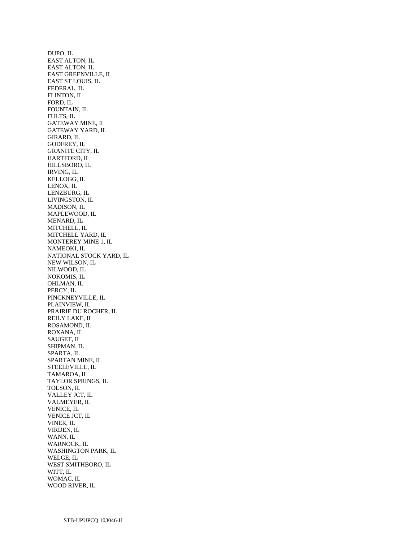DUPO, IL EAST ALTON, IL EAST ALTON, IL EAST GREENVILLE, IL EAST ST LOUIS, IL FEDERAL, IL FLINTON, IL FORD, IL FOUNTAIN, IL FULTS, IL GATEWAY MINE, IL GATEWAY YARD, IL GIRARD, IL GODFREY, IL GRANITE CITY, IL HARTFORD, IL HILLSBORO, IL IRVING, IL KELLOGG, IL LENOX, IL LENZBURG, IL LIVINGSTON, IL MADISON, IL MAPLEWOOD, IL MENARD, IL MITCHELL, IL MITCHELL YARD, IL MONTEREY MINE 1, IL NAMEOKI, IL NATIONAL STOCK YARD, IL NEW WILSON, IL NILWOOD, IL NOKOMIS, IL OHLMAN, IL PERCY, IL PINCKNEYVILLE, IL PLAINVIEW, IL PRAIRIE DU ROCHER, IL REILY LAKE, IL ROSAMOND, IL ROXANA, IL SAUGET, IL SHIPMAN, IL SPARTA, IL SPARTAN MINE, IL STEELEVILLE, IL TAMAROA, IL TAYLOR SPRINGS, IL TOLSON, IL VALLEY JCT, IL VALMEYER, IL VENICE, IL VENICE JCT, IL VINER, IL VIRDEN, IL WANN, IL WARNOCK, IL WASHINGTON PARK, IL WELGE, IL WEST SMITHBORO, IL WITT, IL WOMAC, IL WOOD RIVER, IL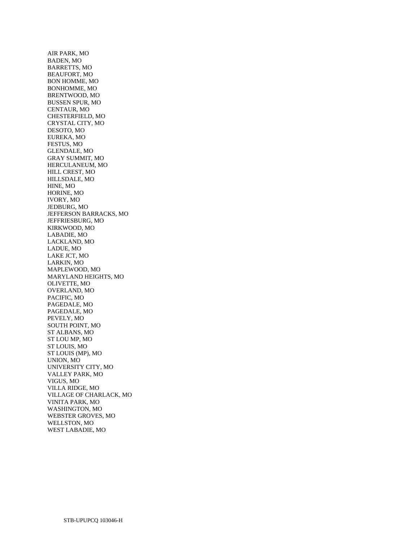AIR PARK, MO BADEN, MO BARRETTS, MO BEAUFORT, MO BON HOMME, MO BONHOMME, MO BRENTWOOD, MO BUSSEN SPUR, MO CENTAUR, MO CHESTERFIELD, MO CRYSTAL CITY, MO DESOTO, MO EUREKA, MO FESTUS, MO GLENDALE, MO GRAY SUMMIT, MO HERCULANEUM, MO HILL CREST, MO HILLSDALE, MO HINE, MO HORINE, MO IVORY, MO JEDBURG, MO JEFFERSON BARRACKS, MO JEFFRIESBURG, MO KIRKWOOD, MO LABADIE, MO LACKLAND, MO LADUE, MO LAKE JCT, MO LARKIN, MO MAPLEWOOD, MO MARYLAND HEIGHTS, MO OLIVETTE, MO OVERLAND, MO PACIFIC, MO PAGEDALE, MO PAGEDALE, MO PEVELY, MO SOUTH POINT, MO ST ALBANS, MO ST LOU MP, MO ST LOUIS, MO ST LOUIS (MP), MO UNION, MO UNIVERSITY CITY, MO VALLEY PARK, MO VIGUS, MO VILLA RIDGE, MO VILLAGE OF CHARLACK, MO VINITA PARK, MO WASHINGTON, MO WEBSTER GROVES, MO WELLSTON, MO WEST LABADIE, MO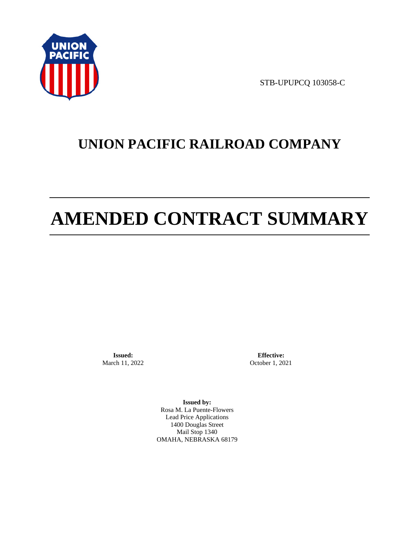

STB-UPUPCQ 103058-C

# **UNION PACIFIC RAILROAD COMPANY**

# **AMENDED CONTRACT SUMMARY**

**Issued:**  March 11, 2022

**Effective:** October 1, 2021

**Issued by:**  Rosa M. La Puente-Flowers Lead Price Applications 1400 Douglas Street Mail Stop 1340 OMAHA, NEBRASKA 68179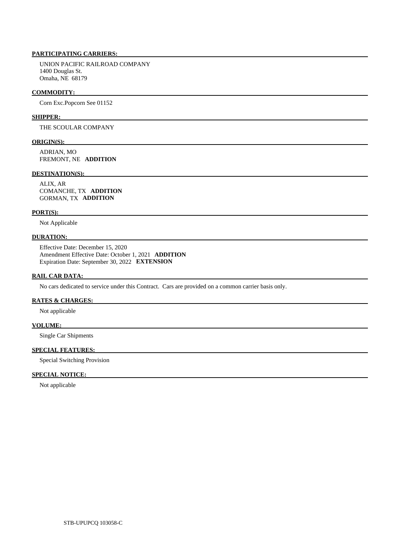# **PARTICIPATING CARRIERS:**

 UNION PACIFIC RAILROAD COMPANY 1400 Douglas St. Omaha, NE 68179

# **COMMODITY:**

Corn Exc.Popcorn See 01152

# **SHIPPER:**

THE SCOULAR COMPANY

# **ORIGIN(S):**

 ADRIAN, MO FREMONT, NE **ADDITION** 

# **DESTINATION(S):**

 ALIX, AR COMANCHE, TX **ADDITION**  GORMAN, TX **ADDITION** 

# **PORT(S):**

Not Applicable

# **DURATION:**

 Effective Date: December 15, 2020 Amendment Effective Date: October 1, 2021 **ADDITION**  Expiration Date: September 30, 2022 **EXTENSION** 

# **RAIL CAR DATA:**

No cars dedicated to service under this Contract. Cars are provided on a common carrier basis only.

# **RATES & CHARGES:**

Not applicable

# **VOLUME:**

Single Car Shipments

#### **SPECIAL FEATURES:**

Special Switching Provision

# **SPECIAL NOTICE:**

Not applicable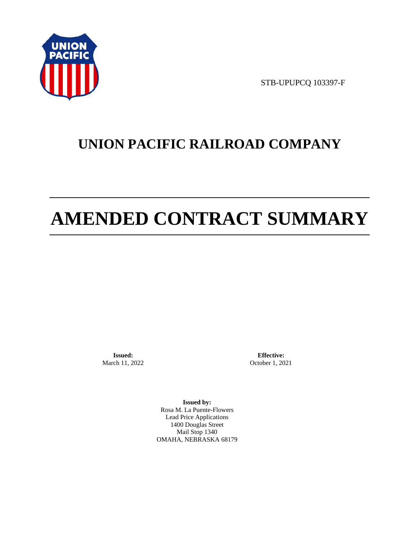

STB-UPUPCQ 103397-F

# **UNION PACIFIC RAILROAD COMPANY**

# **AMENDED CONTRACT SUMMARY**

**Issued:**  March 11, 2022

**Effective:** October 1, 2021

**Issued by:**  Rosa M. La Puente-Flowers Lead Price Applications 1400 Douglas Street Mail Stop 1340 OMAHA, NEBRASKA 68179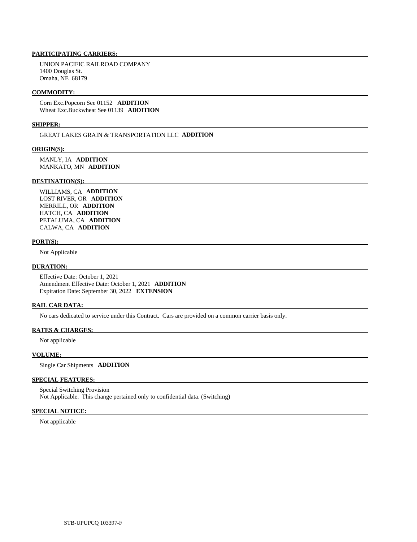# **PARTICIPATING CARRIERS:**

 UNION PACIFIC RAILROAD COMPANY 1400 Douglas St. Omaha, NE 68179

# **COMMODITY:**

 Corn Exc.Popcorn See 01152 **ADDITION**  Wheat Exc.Buckwheat See 01139 **ADDITION** 

# **SHIPPER:**

GREAT LAKES GRAIN & TRANSPORTATION LLC **ADDITION** 

#### **ORIGIN(S):**

 MANLY, IA **ADDITION**  MANKATO, MN **ADDITION** 

# **DESTINATION(S):**

 WILLIAMS, CA **ADDITION**  LOST RIVER, OR **ADDITION**  MERRILL, OR **ADDITION**  HATCH, CA **ADDITION**  PETALUMA, CA **ADDITION**  CALWA, CA **ADDITION** 

# **PORT(S):**

Not Applicable

#### **DURATION:**

 Effective Date: October 1, 2021 Amendment Effective Date: October 1, 2021 **ADDITION**  Expiration Date: September 30, 2022 **EXTENSION** 

# **RAIL CAR DATA:**

No cars dedicated to service under this Contract. Cars are provided on a common carrier basis only.

# **RATES & CHARGES:**

Not applicable

# **VOLUME:**

Single Car Shipments **ADDITION** 

# **SPECIAL FEATURES:**

 Special Switching Provision Not Applicable. This change pertained only to confidential data. (Switching)

# **SPECIAL NOTICE:**

Not applicable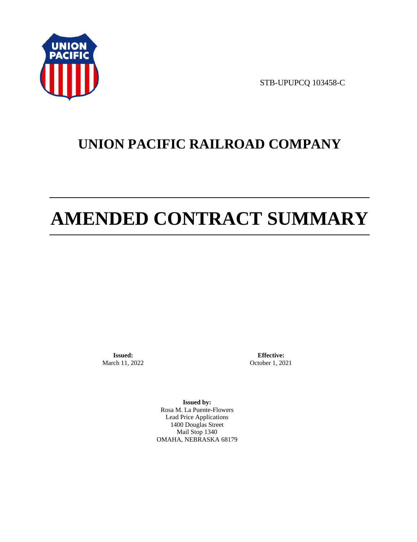

STB-UPUPCQ 103458-C

# **UNION PACIFIC RAILROAD COMPANY**

# **AMENDED CONTRACT SUMMARY**

**Issued:**  March 11, 2022

**Effective:** October 1, 2021

**Issued by:**  Rosa M. La Puente-Flowers Lead Price Applications 1400 Douglas Street Mail Stop 1340 OMAHA, NEBRASKA 68179